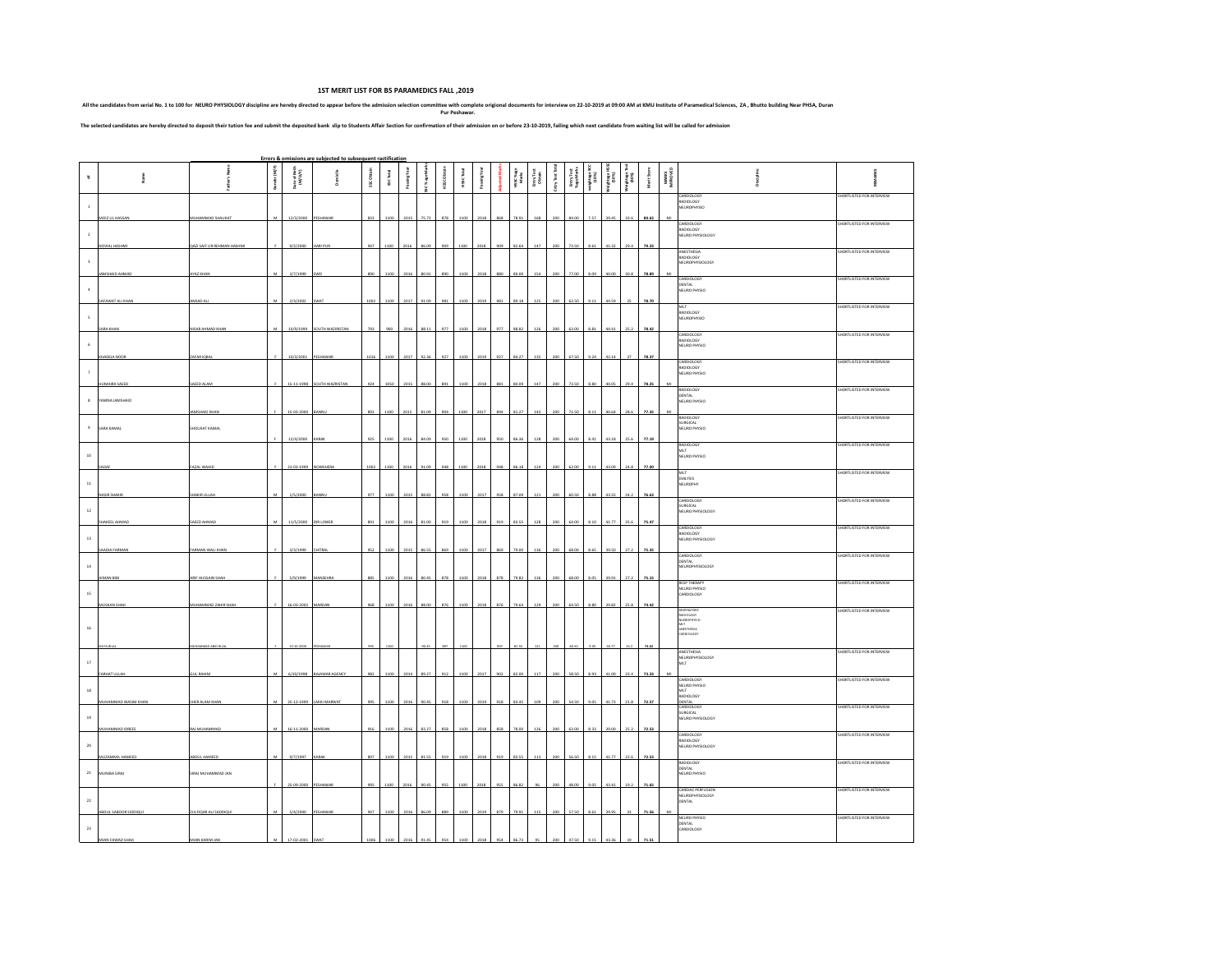**1ST MERIT LIST FOR BS PARAMEDICS FALL ,2019**

All the candidates from serial No. 1 to 100 for NEURO PHYSiOLOGY discipline are hereby directed to appear before the admission selection committee origional documents for interview on 22:10-2019 at 09:00 AM at KMU institut

The selected candidates are hereby directed to deposit their tution fee and submit the deposited bank slip to Students Affair Section for confirmation of their admission on or before 23-10-2019, falling which next candidat

|                     |                                 |                                    |                |                          | Errors & omissions are subjected to subsequent ractification |                   |          |             |                 |                  |            |              |     |                  |                      |          |                          |                  |                      |                  |             |                   |                                                                |                           |
|---------------------|---------------------------------|------------------------------------|----------------|--------------------------|--------------------------------------------------------------|-------------------|----------|-------------|-----------------|------------------|------------|--------------|-----|------------------|----------------------|----------|--------------------------|------------------|----------------------|------------------|-------------|-------------------|----------------------------------------------------------------|---------------------------|
| $\boldsymbol{\pi}$  |                                 |                                    | Gender (M/F)   | Date of Birth<br>(M/Q/Y) |                                                              | <b>SSC Obtain</b> | SSCTotal | Pasing Year | isc % age Marks | <b>HSCObtain</b> | HSSC Total | Passing Year |     | HSC%age<br>Marks | Entry Test<br>Obtain | Tast Van | Entry Test<br>%age Marie | ghtage:<br>(10%) | <b>Mage</b><br>(90%) | Cycory<br>(1000) | Merit Scare | MARKS<br>INFROVED |                                                                | š                         |
| $\,$ 1 $\,$         |                                 |                                    |                |                          |                                                              |                   |          |             |                 |                  |            |              |     |                  |                      |          |                          |                  |                      |                  |             |                   | CARDIOLOGY<br>NADIOLOGY<br>RADIOLOGY<br>NEUROPHYSIO            | SHORTLISTED FOR INTERVIEW |
| $\cdot$ 2           | MOIZ UL HASSAN                  | MUHAMMAD SHAUKAT                   | M              | 12/3/2000 PESHAWAR       |                                                              | 833               | 1100     | 2015        | 75.73           | 878              | 1100       | 2018         |     | 78.91            | 168                  | 200      | 84.00                    | 7.57             | 39.45                | 33.6             | 80.63       |                   | CARDIOLOGY<br>RADIOLOGY<br>NEURO PHYSIOLOGY                    | SHORTLISTED FOR INTERVIEW |
| $_{3}$              | NOVIAL HASHMI                   | <b>QAZI SAIF UR REHMAN HASHMI</b>  |                | 9/2/2000                 | HARI PUR                                                     | 947               | 1100     | 2016        | 86.09           | 909              | 1100       | 2018         |     | 82.64            | 147                  |          | 73.50                    | 8.61             | 41.32                | 29.4             | 79.33       |                   | ANFSTHESIA<br>NADIOLOGY<br>NEUROPHYSIOLOGY                     | SHORTLISTED FOR INTERVIEW |
| $\,$ 4 $\,$         | AMSHAID AHMAD                   | AYAZ KHAN                          | M              | 3/7/1999                 |                                                              | 890               | 1100     | 2016        | 80.91           | 890              | 1100       | 2018         |     | 80.00            |                      |          |                          | 8.05             | 40.0                 | 30.1             | 78.89       |                   | CARDIOLOGY<br>DENTAL<br>NEURO PHYSIO                           | SHORTLISTED FOR INTERVIEW |
| $\mathsf S$         | SAFAWAT ALI KHAN                | AMJAD ALI                          | M              | 2/3/2002                 | <b>SWAT</b>                                                  | 1002              | 1100     | 2017        | 91.09           |                  |            | 2019         |     | 89.18            | 125                  |          |                          | 9.11             | 44.5                 |                  | 78.70       |                   | MLT<br>RADIOLOGY<br><b>NEUROPHYSIO</b>                         | SHORTLISTED FOR INTERVIEW |
|                     | SARA KHAN                       | NISAR AHMAD KHAN                   | M              |                          | 10/9/1999 SOUTH WAZIRISTAN                                   | 793               | 900      | 2016        | 88.11           | 977              | 1100       | 2018         | 977 | 88.82            | 126                  |          | 63.00                    | 8.81             | 44.41                | 25.2             | 78.42       |                   | CARDIOLOGY<br>RADIOLOGY                                        | SHORTLISTED FOR INTERVIEW |
| $_{\rm 6}$          | KHADEJA NOOR                    | ZAFAR IQBAI                        |                | 10/3/2001                | PESHAWAR                                                     | 1016              | 110      | 2017        | 92.36           | 92               |            | 201          |     | 84.27            | 135                  |          |                          | 9.24             | 42.14                |                  | 78.37       |                   | NEURO PHYSIO<br>CARDIOLOGY<br>RADIOLOGY                        | SHORTLISTED FOR INTERVIEW |
| $\scriptstyle\rm 7$ | HUMAIRA SAEED                   | SAEED ALAM                         |                |                          | 15-11-1998 SOUTH WAZRISTAN                                   | 924               | 1050     | 2015        | 88.00           | 891              | 1100       | 2018         | 881 | 80.09            | 147                  |          | 73.50                    | 8.80             | 40.05                | 29.4             | 78.25       |                   | NEURO PHYSIO<br><b>RADIOLOGY</b>                               | SHORTLISTED FOR INTERVIEW |
| $\mathbf{8}$        | YAMNA JAMSHAID                  | <b>JD KHA</b>                      |                | 15-03-2                  |                                                              |                   |          |             |                 |                  |            |              |     |                  |                      |          |                          |                  |                      |                  |             |                   | DENTAL<br>NEURO PHYSIO<br><b>RADIOLOGY</b>                     | SHORTLISTED FOR INTERVIEW |
| $\,9$               | SARA KAMAL                      | SHOUKAT KAMAL                      |                | 12/4/2000                | KARAI                                                        | 925               | 1100     | 2016        | 84.09           | 950              | 1100       | 2018         |     | 86.36            | 128                  |          |                          | 8.41             | 43.18                | 25.6             | 77.19       |                   | <b>SURGICAL</b><br>NEURO PHYSIO<br><b>RADIOLOGY</b>            | SHORTLISTED FOR INTERVIEW |
| $10\,$              | SADA                            | FAZAL WAHID                        |                | 21-03-1999 NOWSHERA      |                                                              | 1002              | 1100     | 2016        | 91.09           | 948              | 1100       | 2018         |     | 86.18            | 124                  |          | 62.0                     | 9.11             | 43.09                | 24.1             | 77.00       |                   | MLT<br>NEURO PHYSIO                                            |                           |
| $11\,$              |                                 | AKIR ULLA                          |                | 1/5/20                   |                                                              |                   |          |             |                 |                  |            |              |     |                  |                      |          |                          |                  |                      |                  |             |                   | MLT<br>DIALYSIS<br><b>NEUROPHY</b>                             | SHORTLISTED FOR INTERVIEW |
| $12\,$              |                                 |                                    |                |                          |                                                              |                   |          |             |                 |                  |            |              |     |                  |                      |          |                          |                  |                      |                  |             |                   | CARDIOLOGY<br>SURGICAL<br>NEURO PHYSIOLOGY                     | SHORTLISTED FOR INTERVIEW |
| 13                  | <b>SHAKEEL AHMAD</b>            | SAEED AHMAD                        | M              | 11/5/2000 DIRLOWER       |                                                              | 891               | 110      | 2016        | 81.00           |                  |            |              |     | 83.55            |                      |          |                          | 8.10             | 41.77                | 25.1             | 75.47       |                   | CARDIOLOGY<br>RADIOLOGY<br>NEURO PHYSIOLOGY                    | SHORTLISTED FOR INTERVIEW |
| $14\,$              | SAADIA FARMAN                   | FARMAN WALL KHAN                   |                | 3/3/1999                 | CHITRAL                                                      | 952               | 1100     | 2015        | 86.55           | 869              | 1100       | 2017         | 869 | 79.00            | 136                  |          | 68.00                    | 8.65             | 39.50                | 27.2             | 75.35       |                   | CARDIOLOGY<br>DENTAL<br>NEUROPHYSIOLOGY                        | SHORTLISTED FOR INTERVIEW |
| $15\,$              | <b>IMAN BIB</b>                 | ARIF HUSSAIN SHAH                  |                | 5/9/1999                 | MANSEHRA                                                     | 885               | 110      | 2016        | 80.4            |                  |            |              |     | 79.82            |                      |          |                          | 8.05             | 39.91                | 27.3             | 75.15       |                   | <b>RESP THERAPY</b><br>NEURO PHYSIO<br>CARDIOLOGY              | SHORTLISTED FOR INTERVIEW |
|                     | MUSKAN SHAH                     | MUHAMMAD ZAHIR SHAH                |                | 16-03-2002 MARDAN        |                                                              | 968               | 1100     | 2016        | 88.00           | 876              | 110        | 2018         |     | 79.64            | 129                  |          |                          | 8.80             | 39.82                | 25.8             | 74.42       |                   | RESPIRATORY<br>RADIOLOGY<br>NUEROPHYSIO                        | SHORTLISTED FOR INTERVIEW |
| $16\,$              |                                 |                                    |                |                          |                                                              |                   |          |             |                 |                  |            |              |     |                  |                      |          |                          |                  |                      |                  | 74.0        |                   | kτ<br>m.<br>NISTHESIA<br>JARDIOLOGY                            |                           |
| $17\,$              | HAJJU TAHSAR                    | <b>SUL RAHIM</b>                   | M              |                          | 6/10/1998 BAJAWAR AGENCY                                     | 982               | 1100     | 2014        | 89.27           | 912              | 110        | 2017         | 902 | 82.00            | 117                  | 200      | 58.50                    | 8.93             | 41.00                | 23.4             | 73.33       |                   | ANESTHESIA<br>NEUROPHYSIOLOGY<br>MLT                           | SHORTLISTED FOR INTERVIEW |
| $^{\rm 18}$         | MUHAMMAD WASIM KHAN             | <b>SHER ALAM KHAN</b>              | M              | 25-12-1999               | LAKKI MARWAT                                                 |                   |          | 2016        |                 |                  |            |              |     |                  |                      |          |                          |                  | 41.7                 |                  | 72.57       |                   | CARDIOLOGY<br>EURO PHYSIO<br><b>MLT</b><br>RADIOLOGY<br>DENTAL | SHORTLISTED FOR INTERVIEW |
| $19\,$              |                                 |                                    |                |                          |                                                              |                   |          |             |                 |                  |            |              |     |                  |                      |          |                          |                  |                      |                  |             |                   | CARDIOLOGY<br><b>URGICAL</b><br>NEURO PHYSIOLOGY               | SHORTLISTED FOR INTERVIEW |
| $20\,$              | MUHAMMAD IDREES                 | RAJ MUHAMMAD                       | M              | 16-11-2000 MARDAN        |                                                              | 916               | 1100     | 2016        | 83.27           | 858              | 1100       | 2018         | 858 | 78.00            | 126                  | 200      | 63.0                     | 8.33             | 39.00                | 25.2             | 72.53       |                   | CARDIOLOGY<br>RADIOLOGY<br>NEURO PHYSIOLOGY                    | SHORTLISTED FOR INTERVIEW |
| $_{\rm 21}$         | MUZAMMIL HAMEED<br>MUNIBA SIRAJ | ABOUL HAMEED<br>SIRAJ MUHAMMAD JAN | M              | 9/7/1997                 | <b>KARAK</b>                                                 | 897               | 1100     | 2015        | 81.55           | 91               |            | 201          |     | 83.55            |                      |          |                          | 8.15             | 41.77                | 22.6             | 72.53       |                   | <b>RADIOLOGY</b><br>ENTAL<br>NEURO PHYSIO                      | SHORTLISTED FOR INTERVIEW |
| $\bf{^{22}}$        |                                 |                                    |                | 25-09-2000               | PESHAWA                                                      |                   | 110      | 201         | 90.4            |                  |            |              |     | 86.8             |                      |          |                          |                  | 43.41                | 19.2             | 71.65       |                   | CARDIAC PERFUSION<br>NEUROPHYSIOLOGY<br>DENTAL                 | SHORTLISTED FOR INTERVIEW |
| $_{23}$             | ABDUL SABOOR SIDDIQUI           | ZULFIQAR ALI SADDIQUI              | M <sub>1</sub> |                          | 5/4/2000 PESHAWAR                                            | 947               | 1100     | 2016        | 86.09           | 889              |            | 2019         | 879 | 79.93            |                      |          |                          | 8.61             | 39.95                |                  | 71.56       |                   | NEURO PHYSIO<br>DENTAL<br>CARDIOLOGY                           | SHORTLISTED FOR INTERVIEW |
|                     | MIAN FAWAD SHAH                 | MIAN KARIM JAN                     |                | 17-02-2001 SWAT          |                                                              |                   |          |             |                 |                  |            |              |     |                  |                      |          |                          |                  |                      |                  |             |                   |                                                                |                           |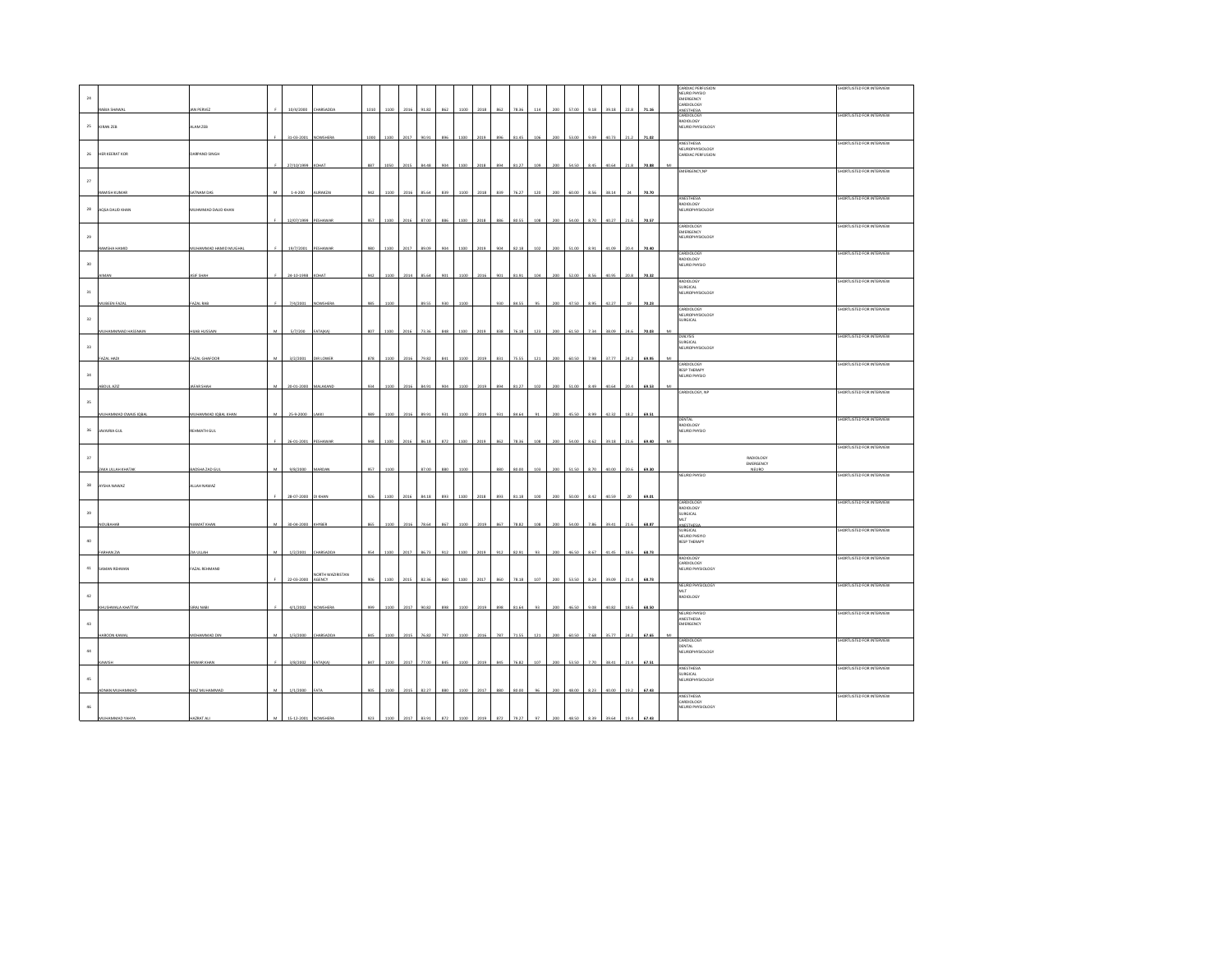|             |                           |                      |   |                     |                           |            |      |      |        |     |      |      |     |       |     |     |            |      |       |      |       |   | CARDIAC PERFUSION              | SHORTLISTED FOR INTERVIEW |
|-------------|---------------------------|----------------------|---|---------------------|---------------------------|------------|------|------|--------|-----|------|------|-----|-------|-----|-----|------------|------|-------|------|-------|---|--------------------------------|---------------------------|
| $\bf{24}$   |                           |                      |   |                     |                           |            |      |      |        |     |      |      |     |       |     |     |            |      |       |      |       |   | NEURO PHYSIO<br>EMERGENCY      |                           |
|             |                           |                      |   |                     |                           |            |      |      |        |     |      |      |     |       |     |     |            |      |       |      |       |   | CARDIOLOGY                     |                           |
|             | RABIA SHAWA               | <b>JAN PERVEZ</b>    |   | 10/4/2000           | HARSADDA                  | 1010       | 1100 | 2016 | 1.82   |     |      | 2013 | 862 |       |     |     | 57.00      | 9.18 | 39.18 | 22.8 | 71.16 |   | ANESTHESIA<br>CARDIOLOGY       | SHORTLISTED FOR INTERVIEW |
|             |                           |                      |   |                     |                           |            |      |      |        |     |      |      |     |       |     |     |            |      |       |      |       |   | RADIOLOGY                      |                           |
| 25          | KIRAN ZEB                 | ALAM ZEB             |   |                     |                           |            |      |      |        |     |      |      |     |       |     |     |            |      |       |      |       |   | NEURO PHYSIOLOGY               |                           |
|             |                           |                      |   | 31-03-20            |                           |            |      |      |        |     |      |      |     |       |     |     |            |      |       |      |       |   |                                |                           |
|             |                           |                      |   |                     |                           |            |      |      |        |     |      |      |     |       |     |     |            |      |       |      |       |   | ANESTHESIA<br>NELIROPHYSIOLOGY | SHORTLISTED FOR INTERVIEW |
| 26          | HER KEERAT KOR            | DARPAND SINGH        |   |                     |                           |            |      |      |        |     |      |      |     |       |     |     |            |      |       |      |       |   | CARDIAC PERFUSION              |                           |
|             |                           |                      |   | 27/10/1999 KOHAT    |                           | 887        | 1050 | 2015 | 34.48  |     | 1100 | 2018 | 89  | 31.27 |     |     |            |      | 40.64 | 21.  | 70.88 | M |                                |                           |
|             |                           |                      |   |                     |                           |            |      |      |        |     |      |      |     |       |     |     |            |      |       |      |       |   | EMERGENCY, NP                  | SHORTLISTED FOR INTERVIEW |
|             |                           |                      |   |                     |                           |            |      |      |        |     |      |      |     |       |     |     |            |      |       |      |       |   |                                |                           |
| $\sqrt{27}$ |                           |                      |   |                     |                           |            |      |      |        |     |      |      |     |       |     |     |            |      |       |      |       |   |                                |                           |
|             | RAMISH KUMAR              | SATNAM DAS           |   | $1.4 - 200$         | AURAKZA                   | 942        | 110  | 2016 | 85.64  |     |      | 2018 | 839 | 76.27 | 120 |     |            | 8.56 | 38.14 |      | 70.70 |   |                                |                           |
|             |                           |                      |   |                     |                           |            |      |      |        |     |      |      |     |       |     |     |            |      |       |      |       |   | ANESTHESIA<br><b>RADIOLOGY</b> | SHORTLISTED FOR INTERVIEW |
| 28          | AQSA DAUD KHAN            | MUHMMAD DAUD KHAN    |   |                     |                           |            |      |      |        |     |      |      |     |       |     |     |            |      |       |      |       |   | NEUROPHYSIOLOGY                |                           |
|             |                           |                      |   |                     |                           |            |      |      |        |     |      |      |     |       |     |     |            |      |       |      |       |   |                                |                           |
|             |                           |                      |   | 12/07/1999 PESHAWAR |                           | 957        | 1100 | 2016 | 87.00  |     | 1100 | 2018 | 886 | 80.55 | 108 | 200 | 54.00      | 8.70 | 40.27 | 21.6 | 70.57 |   | CARDIOLOGY                     | SHORTLISTED FOR INTERVIEW |
| 29          |                           |                      |   |                     |                           |            |      |      |        |     |      |      |     |       |     |     |            |      |       |      |       |   | <b>EMERGENCY</b>               |                           |
|             |                           |                      |   |                     |                           |            |      |      |        |     |      |      |     |       |     |     |            |      |       |      |       |   | NEUROPHYSIOLOGY                |                           |
|             | RAMSHA HAMID              | MUHAMMAD HAMID MUGHA |   | 19/7/2001           | PESHAWA                   |            |      |      |        |     |      |      |     |       |     |     |            |      |       |      |       |   |                                |                           |
|             |                           |                      |   |                     |                           |            |      |      |        |     |      |      |     |       |     |     |            |      |       |      |       |   | CARDIOLOGY<br>RADIOLOGY        | SHORTLISTED FOR INTERVIEW |
| $30\,$      |                           |                      |   |                     |                           |            |      |      |        |     |      |      |     |       |     |     |            |      |       |      |       |   | NEURO PHYSIO                   |                           |
|             |                           |                      |   | $24 - 10 -$         |                           |            |      |      |        |     |      |      |     |       |     |     |            |      |       |      |       |   |                                |                           |
|             |                           |                      |   |                     |                           |            |      |      |        |     |      |      |     |       |     |     |            |      |       |      |       |   | <b>RADIOLOGY</b>               | SHORTLISTED FOR INTERVIEW |
|             |                           |                      |   |                     |                           |            |      |      |        |     |      |      |     |       |     |     |            |      |       |      |       |   | <b>SURGICAL</b>                |                           |
| 31          |                           |                      |   |                     |                           |            |      |      |        |     |      |      |     |       |     |     |            |      |       |      |       |   | <b>NEUROPHYSIOLOGY</b>         |                           |
|             | MUBEEN FAZAL              | FAZAL RAB            |   | 7/4/2001            |                           |            |      |      |        |     |      |      |     |       |     |     |            |      |       |      | 70.2  |   |                                |                           |
|             |                           |                      |   |                     |                           |            |      |      |        |     |      |      |     |       |     |     |            |      |       |      |       |   | CARDIOLOGY<br>NEUROPHYSIOLOGY  | SHORTLISTED FOR INTERVIEW |
| 32          |                           |                      |   |                     |                           |            |      |      |        |     |      |      |     |       |     |     |            |      |       |      |       |   | SURGICAL                       |                           |
|             | <b>IUHAMMMAD HASSNAIN</b> | HUAB HUSSAIN         |   | 5/7/200             | ATA(KA)                   | <b>COR</b> | 100  | 2016 |        |     |      |      |     |       |     |     |            |      |       |      |       |   |                                |                           |
|             |                           |                      |   |                     |                           |            |      |      |        |     |      |      |     |       |     |     |            |      |       |      |       |   | <b>DIALYSIS</b>                | SHORTLISTED FOR INTERVIEW |
|             |                           |                      |   |                     |                           |            |      |      |        |     |      |      |     |       |     |     |            |      |       |      |       |   | <b>SURGICAL</b>                |                           |
| 33          |                           |                      |   |                     |                           |            |      |      |        |     |      |      |     |       |     |     |            |      |       |      |       |   | <b>NEUROPHYSIOLOGY</b>         |                           |
|             | FAZAL HAD                 | FAZAL GHAFOOI        |   | 3/2/2001            | <b>DIRLOWER</b>           | 87         |      | 201  | 19.8   |     |      |      | 83  |       |     |     |            |      |       | 24.  | 69.95 |   |                                |                           |
|             |                           |                      |   |                     |                           |            |      |      |        |     |      |      |     |       |     |     |            |      |       |      |       |   | CARDIOLOGY<br>RESP THERAPY     | SHORTLISTED FOR INTERVIEW |
| 34          |                           |                      |   |                     |                           |            |      |      |        |     |      |      |     |       |     |     |            |      |       |      |       |   | NEURO PHYSIO                   |                           |
|             |                           |                      |   |                     |                           | aa.        |      |      |        |     |      |      |     |       |     |     |            |      |       |      | 69.53 |   |                                |                           |
|             | <b>ABDUL AZIZ</b>         | <b>AFAR SHAH</b>     |   | 20-01-2000 MALAKAND |                           |            |      |      |        |     |      |      |     |       |     |     |            |      |       |      |       |   | CARDIOLOGY, NP                 | SHORTLISTED FOR INTERVIEW |
|             |                           |                      |   |                     |                           |            |      |      |        |     |      |      |     |       |     |     |            |      |       |      |       |   |                                |                           |
| 35          |                           |                      |   |                     |                           |            |      |      |        |     |      |      |     |       |     |     |            |      |       |      |       |   |                                |                           |
|             | UHAMMAD OWAIS IGBA        | MUHAMMAD IQBAL KHAN  |   | 25-9-2000           |                           | œ          |      | 201  |        |     | 110  |      |     | a sa  |     |     | 45C        | 899  |       | 18.7 | 69.51 |   |                                |                           |
|             |                           |                      |   |                     |                           |            |      |      |        |     |      |      |     |       |     |     |            |      |       |      |       |   | DENTAL                         | SHORTLISTED FOR INTERVIEW |
| $36\,$      |                           |                      |   |                     |                           |            |      |      |        |     |      |      |     |       |     |     |            |      |       |      |       |   |                                |                           |
|             | JAVAIRIA GUL              |                      |   |                     |                           |            |      |      |        |     |      |      |     |       |     |     |            |      |       |      |       |   | RADIOLOGY<br>NEURO PHYSIO      |                           |
|             |                           | REHMATH GUL          |   |                     |                           |            |      |      |        |     |      |      |     |       |     |     |            |      |       |      |       |   |                                |                           |
|             |                           |                      |   | 26-01-2001          | PESHAWAR                  | 948        | 1100 | 2016 | 86.18  | 872 | 1100 | 2019 | 862 | 78.36 | 108 | 200 | 54.00      | 8.62 | 39.18 | 21.6 | 69.40 |   |                                | SHORTLISTED FOR INTERVIEW |
|             |                           |                      |   |                     |                           |            |      |      |        |     |      |      |     |       |     |     |            |      |       |      |       |   |                                |                           |
| $37\,$      |                           |                      |   |                     |                           |            |      |      |        |     |      |      |     |       |     |     |            |      |       |      |       |   | RADIOLOGY                      |                           |
|             | ZAKA ULLAH KHATAB         | BADSHA ZAD GL        |   | 9/8/2000            | MARDAN                    | 957        | 1100 |      | 87.00  | oor | 1100 |      | 880 | o or  |     |     | 550        | 8.70 |       | 20.6 | 69.30 |   | EMERGENCY<br>NEURO             |                           |
|             |                           |                      |   |                     |                           |            |      |      |        |     |      |      |     |       |     |     |            |      |       |      |       |   | NEURO PHYSIO                   | SHORTLISTED FOR INTERVIEW |
| 38          | AYSHA NAWAZ               | ALLAH NAWAZ          |   |                     |                           |            |      |      |        |     |      |      |     |       |     |     |            |      |       |      |       |   |                                |                           |
|             |                           |                      |   | 10.07.3             |                           |            |      |      |        |     |      |      |     |       |     |     |            |      |       |      |       |   |                                |                           |
|             |                           |                      |   |                     |                           |            |      |      |        |     |      |      |     |       |     |     |            |      |       |      |       |   | CARDIOLOGY                     | SHORTLISTED FOR INTERVIEW |
|             |                           |                      |   |                     |                           |            |      |      |        |     |      |      |     |       |     |     |            |      |       |      |       |   | RADIOLOGY                      |                           |
| 39          |                           |                      |   |                     |                           |            |      |      |        |     |      |      |     |       |     |     |            |      |       |      |       |   | SURGICAL                       |                           |
|             | VOUBAHAR                  | NIAMAT KHAN          |   | 30-04-2000          | <b>HYBER</b>              |            |      | 2016 | 78 F.A |     | 1100 | 201  | oc: | 78.82 |     |     | $A \alpha$ |      | 6.4   |      | 68.87 |   | MLT<br>ANESTHES                |                           |
|             |                           |                      |   |                     |                           |            |      |      |        |     |      |      |     |       |     |     |            |      |       |      |       |   | SURGICAL                       | SHORTLISTED FOR INTERVIEW |
| $40\,$      |                           |                      |   |                     |                           |            |      |      |        |     |      |      |     |       |     |     |            |      |       |      |       |   | NEURO PHSYIO<br>RESP THERAPY   |                           |
|             |                           |                      | M |                     |                           |            |      |      |        |     |      |      |     |       |     | 20C |            |      |       |      |       |   |                                |                           |
|             | FARHAN ZIA                | HAJULAR              |   | 1/2/2001            | CHARSADDA                 | 954        | 1100 | 2017 | 86.73  | 912 | 1100 | 2019 | 912 | 82.91 |     |     | 46.50      | 8.67 | 41.45 | 18.6 | 68.73 |   | RADIOLOGY                      | SHORTLISTED FOR INTERVIEW |
|             |                           |                      |   |                     |                           |            |      |      |        |     |      |      |     |       |     |     |            |      |       |      |       |   | CARDIOLOGY                     |                           |
| $41\,$      | SAMAN REHMAN              | FAZAL REHMANO        |   |                     |                           |            |      |      |        |     |      |      |     |       |     |     |            |      |       |      |       |   | NEURO PHYSIOLOGY               |                           |
|             |                           |                      |   | 22.03.200           | NORTH WAZIRISTAN<br>GENCY |            |      |      |        |     |      |      |     |       |     |     |            |      |       |      | co 1  |   |                                |                           |
|             |                           |                      |   |                     |                           |            |      |      |        |     |      |      |     |       |     |     |            |      |       |      |       |   | NEURO PHYSIOLOGY               | SHORTLISTED FOR INTERVIEW |
| $42\,$      |                           |                      |   |                     |                           |            |      |      |        |     |      |      |     |       |     |     |            |      |       |      |       |   | MLT<br>RADIOLOGY               |                           |
|             |                           |                      |   |                     |                           |            |      |      |        |     |      |      |     |       |     |     |            |      |       |      |       |   |                                |                           |
|             | KHUSHMALA KHATTAK         | SIRAJ NABI           |   | 4/1/2002            | NOWSHERA                  |            |      |      | 90.82  |     |      |      |     | 1.64  |     |     |            |      | 40.82 |      | 68.50 |   | NEURO PHYSIO                   | SHORTLISTED FOR INTERVIEW |
|             |                           |                      |   |                     |                           |            |      |      |        |     |      |      |     |       |     |     |            |      |       |      |       |   | ANESTHESIA                     |                           |
| $4\bar{3}$  |                           |                      |   |                     |                           |            |      |      |        |     |      |      |     |       |     |     |            |      |       |      |       |   | <b>EMERGENCY</b>               |                           |
|             | AROON KAMA                | MOHAMMAD DIN         |   | 1/3/2000            | <b>CHARSADDA</b>          | 845        | 1100 | 2015 | 76.82  | 797 | 110  |      | 787 | 71.55 |     |     | 60.50      | 7.68 | 35.77 | 24.3 | 67.65 |   |                                |                           |
|             |                           |                      |   |                     |                           |            |      |      |        |     |      |      |     |       |     |     |            |      |       |      |       |   | CARDIOLOGY                     | SHORTLISTED FOR INTERVIEW |
| $_{\rm 44}$ |                           |                      |   |                     |                           |            |      |      |        |     |      |      |     |       |     |     |            |      |       |      |       |   | DENTAL<br>NEUROPHYSIOLOGY      |                           |
|             |                           |                      |   |                     |                           | 847        |      |      |        |     |      |      | 84  | 76.83 |     |     |            |      | tR 4  |      |       |   |                                |                           |
|             | AWISH                     | ANWAR KHAM           |   | 3/8/2002            | <b>FATA(KA)</b>           |            |      |      |        |     |      |      |     |       |     |     |            |      |       |      | 67.5  |   | ANESTHESIA                     | SHORTLISTED FOR INTERVIEW |
|             |                           |                      |   |                     |                           |            |      |      |        |     |      |      |     |       |     |     |            |      |       |      |       |   | SURGICAL                       |                           |
| $45\,$      |                           |                      |   |                     |                           |            |      |      |        |     |      |      |     |       |     |     |            |      |       |      |       |   | NEUROPHYSIOLOGY                |                           |
|             | ADNAN MUHAMMAD            | NIAZ MUHAMMAD        | M | 1/1/2000            | FATA                      | 905        | 1100 | 2015 | 82.27  |     |      | 2017 | 880 | n nr  |     |     | 48.00      | 8.23 | 40.00 | 19.2 | 67.43 |   |                                |                           |
|             |                           |                      |   |                     |                           |            |      |      |        |     |      |      |     |       |     |     |            |      |       |      |       |   | ANESTHESIA<br>CARDIOLOGY       | SHORTLISTED FOR INTERVIEW |
| $46\,$      |                           |                      |   |                     |                           |            |      |      |        |     |      |      |     |       |     |     |            |      |       |      |       |   | NEURO PHYSIOLOGY               |                           |
|             | HAMMAD YAHY               | AZRAT AL             |   |                     |                           |            |      |      |        |     |      |      |     |       |     |     |            |      |       |      |       |   |                                |                           |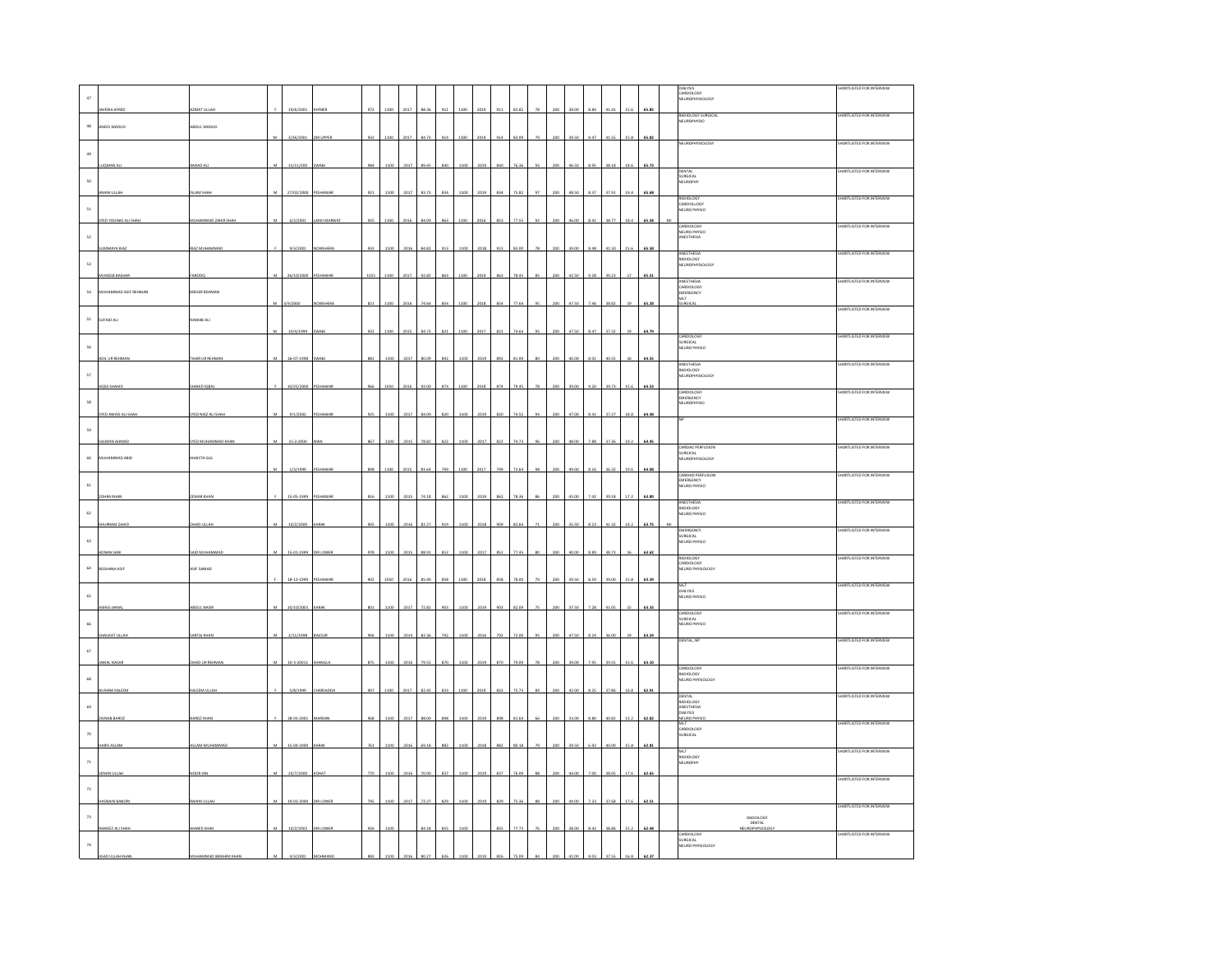|               |                      |                           |            |                  |     |      |      |       |     |      |      |     |       |     |       |      |       |      |       |                                                           | SHORTLISTED FOR INTERVIEW |
|---------------|----------------------|---------------------------|------------|------------------|-----|------|------|-------|-----|------|------|-----|-------|-----|-------|------|-------|------|-------|-----------------------------------------------------------|---------------------------|
| 47            |                      |                           |            |                  |     |      |      |       |     |      |      |     |       |     |       |      |       |      |       | DIALYSIS<br>CARDIOLOGY<br>NEUROPHYSIOLOGY                 |                           |
|               | JAVERIA AFRIDI       | AZMAT ULLAH               | 19/6/2001  | <b>HYBER</b>     | 972 | 1100 | 201  |       |     |      |      |     | 82.82 |     |       | 8.84 | 41.4  | 15.6 | 65.85 | RADIOLOGY SURGICAL                                        | SHORTLISTED FOR INTERVIEW |
| $48\,$        | ANEES WADUD          | BOUL WADUD                |            |                  |     |      |      |       |     |      |      |     |       |     |       |      |       |      |       | <b>NEUROPHYSIO</b>                                        |                           |
|               |                      |                           |            |                  |     |      |      |       |     |      |      |     |       |     |       |      |       |      |       |                                                           |                           |
|               |                      |                           |            |                  |     |      |      |       |     |      |      |     |       |     |       |      |       |      |       | NEUROPHYSIOLOGY                                           | HORTLISTED FOR INTERVIEW  |
| $\bf 49$      |                      |                           |            |                  |     |      |      |       |     |      |      |     |       |     |       |      |       |      |       |                                                           |                           |
|               | <b>JOMAN AL</b>      | MIAD AL                   | 15/11/200  | <b>WAB</b>       | 984 | 1100 | 2017 | 89.4  |     |      |      |     |       |     |       |      | 38.11 | 18   | 65.73 |                                                           | SHORTLISTED FOR INTERVIEW |
| 50            |                      |                           |            |                  |     |      |      |       |     |      |      |     |       |     |       |      |       |      |       | DENTAL<br>SURGICAL<br>NEUROPHY                            |                           |
|               | MN ULLAH             | SLAM SHAH                 | 27/02/2000 | PESHAWAR         | 921 | 110  | 2017 |       |     |      |      |     |       |     |       |      | 37.9  |      | 65.68 |                                                           |                           |
|               |                      |                           |            |                  |     |      |      |       |     |      |      |     |       |     |       |      |       |      |       | <b>RADIOLOGY</b><br>CARDIOLLOGY<br>NEURO PHYSIO           | SHORTLISTED FOR INTERVIEW |
| $\mathsf{S1}$ |                      |                           |            |                  |     |      |      |       |     |      |      |     |       |     |       |      |       |      |       |                                                           |                           |
|               | YED YOUNAS ALL SH    | UHAMMAD ZAHIR SH          | 6/2/2001   | <b>UOCI MARV</b> |     |      |      |       |     |      |      |     |       |     |       |      | 38.7  |      |       |                                                           | ORTLISTED FOR INTERVIEW   |
| $^{\rm S2}$   |                      |                           |            |                  |     |      |      |       |     |      |      |     |       |     |       |      |       |      |       | CARDIOLOGY<br>NEURO PHYSIO<br>ANESTHESIA                  |                           |
|               | UMMAYA RIAZ          | RIAZ MUHAMMAI             | 9/3/2001   | NOWSHERA         | 933 | 1100 | 2016 | 84.87 | 917 |      |      |     | 83 O  |     |       | 8.45 | 41.51 |      | 65.58 |                                                           | SHORTLISTED FOR INTERVIEW |
| $^{\rm S3}$   |                      |                           |            |                  |     |      |      |       |     |      |      |     |       |     |       |      |       |      |       | ANESTHESIA<br>RADIOLOGY<br>NEUROPHYSIOLOGY                |                           |
|               | <b>NEEB BASE</b>     |                           |            |                  |     |      |      |       |     |      |      |     |       |     |       |      |       |      |       |                                                           |                           |
|               |                      |                           |            |                  |     |      |      |       |     |      |      |     |       |     |       |      |       |      |       | ANESTHESIA                                                | SHORTLISTED FOR INTERVIEW |
| 54            | MUHAMMAD ASIF REHMAN | MEHER REHMAN              |            |                  |     |      |      |       |     |      |      |     |       |     |       |      |       |      |       | CARDIOLOGY<br>EMERGENCY<br><b>MLT</b>                     |                           |
|               |                      |                           | 9/2000     |                  | 821 |      |      |       |     |      |      |     |       |     |       |      | 38.82 |      | 65.28 | .<br>IRGICA                                               |                           |
| $^{\rm{55}}$  | SUFAID ALI           | AWAB ALI                  |            |                  |     |      |      |       |     |      |      |     |       |     |       |      |       |      |       |                                                           | HORTLISTED FOR INTERVIEW  |
|               |                      |                           | 10/4/1999  | <b>WAB</b>       | 932 | 1100 | 2015 | 84.73 | 821 | 1100 | 2017 | 82  | 74.6  |     | 47.5  | 8.47 | 37.3  |      | 64.79 |                                                           |                           |
|               |                      |                           |            |                  |     |      |      |       |     |      |      |     |       |     |       |      |       |      |       | CARDIOLOGY<br>SURGICAL<br>NEURO PHYSIO                    | SHORTLISTED FOR INTERVIEW |
| 56            |                      |                           |            |                  |     |      |      |       |     |      |      |     |       |     |       |      |       |      |       |                                                           |                           |
|               | ADIL UR REHMAN       | <b>TAHIR UR REHMAI</b>    | 26-07-1998 | <b>SWABI</b>     | 881 | 1100 | 2017 | 80.09 |     | 110  | 2019 | 892 | 81.09 |     | 40.0  | 8.01 | 40.55 |      | 64.55 | ANESTHESIA                                                | HORTLISTED FOR INTER      |
| $\mathsf{57}$ |                      |                           |            |                  |     |      |      |       |     |      |      |     |       |     |       |      |       |      |       | <b>RADIOLOGY</b><br><b>NEUROPHYSIOLOGY</b>                |                           |
|               | <b>AQSA SHAHID</b>   | HAHID IQBA                | 10/25/2000 | PESHAWAR         | 966 | 105  | 201  |       |     | 1100 | 2018 | 874 | 79.45 |     | 39.0  | 9.20 | 39.73 | 15.6 | 64.53 |                                                           |                           |
|               |                      |                           |            |                  |     |      |      |       |     |      |      |     |       |     |       |      |       |      |       | CARDIOLOGY<br>EMERGENCY<br>NEUROPHYSIO                    | HORTLISTED FOR INTERVIEW  |
| $^{\rm S8}$   |                      |                           |            |                  |     |      |      |       |     |      |      |     |       |     |       |      |       |      |       |                                                           |                           |
|               | SYED AWAIS ALI SHAH  | SYED NIAZ ALI SHAH        | 9/1/2002   | PESHAWAR         | 925 | 1100 | 2017 | 84.09 | 820 | 1100 | 2019 | 820 | 74.55 | 200 | 47.00 | 8.41 | 37.27 | 18.1 | 64.48 |                                                           | SHORTLISTED FOR INTERVIEW |
| 59            |                      |                           |            |                  |     |      |      |       |     |      |      |     |       |     |       |      |       |      |       |                                                           |                           |
|               | ALMAN AHMAD          | <b>SYED MUHAMMAD KHAN</b> | 15-2-2000  |                  | 867 | 1100 | 2015 | 78.82 |     |      |      |     | 74.7  |     |       | 7.88 | 37.36 | 19.2 | 64.45 |                                                           |                           |
|               |                      |                           |            |                  |     |      |      |       |     |      |      |     |       |     |       |      |       |      |       | CARDIAC PERFUSION<br>SURGICAL<br>NEUROPHYSIOLOGY          | ORTLISTED FOR INTER       |
| 60            | MUHAMMAD ABID        | <b>CHAISTA GUL</b>        |            |                  |     |      |      |       |     |      |      |     |       |     |       |      |       |      |       |                                                           |                           |
|               |                      |                           | 1/3/1999   | PESHAWAR         | 898 |      | 201  |       |     |      | 2017 | 799 | 72.64 |     |       | 16   | 36.32 | 19.6 | 64.08 |                                                           | HORTLISTED FOR INTERVIEW  |
| $61\,$        |                      |                           |            |                  |     |      |      |       |     |      |      |     |       |     |       |      |       |      |       | CARDIAD PERFUSION<br>EMERGENCY<br>NEURO PHYSIO            |                           |
|               | HRA KHAP             | EWAR KHA                  | 15-05-1999 | ESHAWAR          |     |      |      |       |     |      |      |     |       |     |       | 7.47 | 2011  |      | 63.80 |                                                           |                           |
|               |                      |                           |            |                  |     |      |      |       |     |      |      |     |       |     |       |      |       |      |       | ANESTHESIA                                                | SHORTLISTED FOR INTERVIEW |
| $62\,$        |                      |                           |            |                  |     |      |      |       |     |      |      |     |       |     |       |      |       |      |       | RADIOLOGY<br>NEURO PHYSIO                                 |                           |
|               | CHURRAM ZAHID        | AHID ULLAH                | 10/2/2000  | ARAB             |     |      | 2016 |       |     |      |      |     |       |     |       |      |       |      | 63.75 | EMERGENCY                                                 | SHORTLISTED FOR INTERVIEW |
| $63\,$        |                      |                           |            |                  |     |      |      |       |     |      |      |     |       |     |       |      |       |      |       | SURGICAL<br>NEURO PHYSIO                                  |                           |
|               | DNAN SAM             | AID MUHAMM                | 15-01-1999 | <b>IRLOWER</b>   | 978 | 1100 | 201  |       |     |      |      |     |       |     |       | i od | 38.73 |      | 63.62 |                                                           |                           |
|               |                      |                           |            |                  |     |      |      |       |     |      |      |     |       |     |       |      |       |      |       | RADIOLOGY<br>CARDIOLOGY<br>NEURO PHYSIOLOGY               | SHORTLISTED FOR INTERVIEW |
| $_{\rm 64}$   | ROSHANA ASIF         | ASIF SAMAD                |            |                  |     |      |      |       |     |      |      |     |       |     |       |      |       |      |       |                                                           |                           |
|               |                      |                           | 18-12-1999 |                  |     |      |      |       |     |      |      |     |       |     |       |      |       |      |       | MLT                                                       | SHORTLISTED FOR INTERVIEW |
| 65            |                      |                           |            |                  |     |      |      |       |     |      |      |     |       |     |       |      |       |      |       | INGI<br>DIALYSIS<br>NEURO PHYSIO                          |                           |
|               | AIS JAMA             | BOUL NASI                 | 10/10/2001 |                  |     |      | 201  |       |     |      |      |     |       |     |       |      |       |      | 63.33 |                                                           | SHORTLISTED FOR INTERVIEW |
| 66            |                      |                           |            |                  |     |      |      |       |     |      |      |     |       |     |       |      |       |      |       | CARDIOLOGY<br>SURGICAL<br>NEURO PHYSIO                    |                           |
|               | <b>ALIKAT LILLA</b>  | <b>ARTAJ KHA</b>          | 2/11/1998  | AIOUR            |     |      |      |       |     |      |      |     |       |     |       |      |       |      | 63.24 |                                                           |                           |
|               |                      |                           |            |                  |     |      |      |       |     |      |      |     |       |     |       |      |       |      |       | DENTAL, NP                                                | SHORTLISTED FOR INTERVIEW |
| $_{\rm 67}$   |                      |                           |            |                  |     |      |      |       |     |      |      |     |       |     |       |      |       |      |       |                                                           |                           |
|               | AMAL NASAR           | AHID UR REHMA             | 10-3-20011 | <b>IANGI</b>     |     | 110  | 2016 |       |     |      |      |     |       |     |       |      |       |      | 63.10 | CARDIOLOGY                                                | SHORTLISTED FOR INTERVIEW |
| 68            |                      |                           |            |                  |     |      |      |       |     |      |      |     |       |     |       |      |       |      |       | MOIOLOGY                                                  |                           |
|               | USHRA KALEEM         | ALEEM ULLA                | 5/8/1999   | HARSADDA         |     |      |      |       |     |      |      |     |       |     |       |      |       |      |       | NEURO PHYSIOLOG                                           |                           |
|               |                      |                           |            |                  |     |      |      |       |     |      |      |     |       |     |       |      |       |      |       | DENTAL<br>RADIOLOGY<br>ANESTHESIA                         | SHORTLISTED FOR INTERVIEW |
| 69            |                      |                           |            |                  |     |      |      |       |     |      |      |     |       |     |       |      |       |      |       | <b>DIALYSIS</b>                                           |                           |
|               |                      |                           |            |                  |     |      |      |       |     |      |      |     |       |     |       |      |       |      |       |                                                           | SHORTLISTED FOR INTERVIEW |
| $70\,$        |                      |                           |            |                  |     |      |      |       |     |      |      |     |       |     |       |      |       |      |       | DIALYSIS<br>NEURO PHYSII<br>MLT<br>CARDIOLOGY<br>SURGICAL |                           |
|               | <b>RIS ASLAM</b>     | ASLAM MUHAMMAI            | 15-04-2000 |                  |     |      | 2016 | 69.18 | 88  |      |      |     |       |     |       | 6.97 |       |      | 62.81 |                                                           |                           |
|               |                      |                           |            |                  |     |      |      |       |     |      |      |     |       |     |       |      |       |      |       |                                                           | SHORTLISTED FOR INTERVIEW |
| $71\,$        |                      |                           |            |                  |     |      |      |       |     |      |      |     |       |     |       |      |       |      |       | MLT<br>RADIOLOGY<br>NEUROPHY                              |                           |
|               | IAN ULLA             | AL ROO                    | 20/7/2000  |                  |     |      |      |       |     |      |      |     |       |     |       |      |       |      |       |                                                           | SHORTLISTED FOR INTERVIEW |
| $\, 72$       |                      |                           |            |                  |     |      |      |       |     |      |      |     |       |     |       |      |       |      |       |                                                           |                           |
|               |                      |                           |            |                  |     |      |      |       |     |      |      |     |       |     |       |      |       |      |       |                                                           |                           |
|               |                      |                           |            |                  |     |      |      |       |     |      |      |     |       |     |       |      |       |      |       |                                                           | SHORTLISTED FOR INTERVIEW |
| $73\,$        |                      |                           |            |                  |     |      |      |       |     |      |      |     |       |     |       |      |       |      |       | RADIOLOGY<br>DENTAL                                       |                           |
|               | AMEEZ ALI SHAH       | <b>HMED SHAH</b>          | 10/2/2002  | <b>URLOWER</b>   | 926 | 110  |      | 84.18 | 85  |      |      |     | 77.73 |     |       | 8.42 | 38.88 |      | 62.48 | NEUROPHYSIOLOGY                                           | SHORTLISTED FOR INTERVIEW |
| $_{\rm 74}$   |                      |                           |            |                  |     |      |      |       |     |      |      |     |       |     |       |      |       |      |       | CARDIOLOGY<br>SURGICAL<br>NEURO PHYSIOLOGY                |                           |
|               |                      |                           |            |                  |     |      |      |       |     |      |      |     |       |     |       |      |       |      |       |                                                           |                           |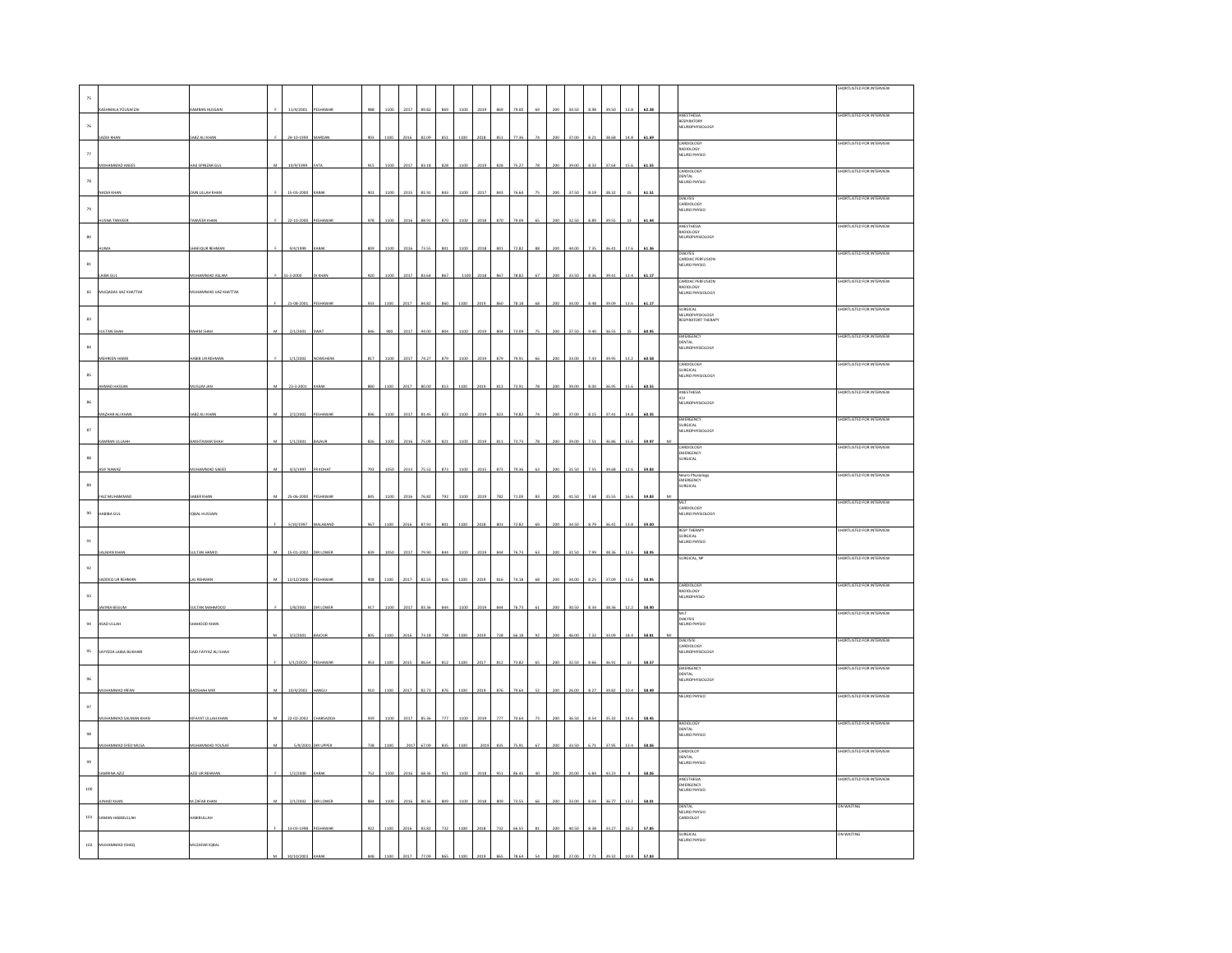|                    |                       |                        |                |                    |                 |                 |      |      |       |                 |      |      |     |      |         |       |       |       |       |                                                             | <b>HORTLISTED FOR INTERVIEW</b>  |
|--------------------|-----------------------|------------------------|----------------|--------------------|-----------------|-----------------|------|------|-------|-----------------|------|------|-----|------|---------|-------|-------|-------|-------|-------------------------------------------------------------|----------------------------------|
| 75                 |                       |                        |                |                    |                 |                 |      |      |       |                 |      |      |     |      |         |       |       |       |       |                                                             |                                  |
|                    | SHMALA YOUSAFZAI      | AMRAN HUSSAI           |                | 11/4/2001          | ESHAWAI         | 988             | 1100 | 2017 |       |                 | 110  |      |     |      |         |       |       |       | 62.28 | ANESTHESIA                                                  | <b>SHORTLISTED FOR INTERVIEW</b> |
| $76\,$             |                       |                        |                |                    |                 |                 |      |      |       |                 |      |      |     |      |         |       |       |       |       | RESPIRATORY<br>NEUROPHYSIOLOGY                              |                                  |
|                    |                       |                        |                |                    |                 |                 |      |      |       |                 |      |      |     |      |         |       |       |       |       |                                                             | HORTLISTED FOR INTERVIEW         |
| $_{\rm 77}$        |                       |                        |                |                    |                 |                 |      |      |       |                 |      |      |     |      |         |       |       |       |       | CARDIOLOGY<br>RADIOLOGY<br>NEURO PHYSIO                     |                                  |
|                    | HAMMAD ANEE           | AJI SPINZAR GU         |                | 10/9/1999          |                 |                 |      |      |       |                 |      |      |     |      |         |       |       |       | 61.55 |                                                             |                                  |
|                    |                       |                        |                |                    |                 |                 |      |      |       |                 |      |      |     |      |         |       |       |       |       | CARDIOLOGY<br>DENTAL<br>NEURO PHYSIO                        | HORTLISTED FOR INTERVIEW         |
| ${\bf 78}$         |                       |                        |                |                    |                 |                 |      |      |       |                 |      |      |     |      |         |       |       |       |       |                                                             |                                  |
|                    | XA KHA!               | <b>CAIN ULLAH KHAI</b> |                | 15-03-2000         |                 |                 |      |      |       |                 |      |      |     |      |         |       |       |       | 51.5  | DIALYSIS                                                    | SHORTLISTED FOR INTERVIEW        |
| $79\,$             |                       |                        |                |                    |                 |                 |      |      |       |                 |      |      |     |      |         |       |       |       |       | CARDIOLOGY<br>NEURO PHYSIO                                  |                                  |
|                    | MA TANVEE             | <b>ANVEER KHAN</b>     |                | 22-10-2000         |                 | 978             | 110  | 201  |       |                 |      |      |     |      |         |       |       |       |       |                                                             | HORTLISTED FOR INTERVIEW         |
| $_{\rm 80}$        |                       |                        |                |                    |                 |                 |      |      |       |                 |      |      |     |      |         |       |       |       |       | ANESTHESIA<br>RADIOLOGY<br><b>NEUROPHYSIOLOGY</b>           |                                  |
|                    |                       | HAFIQUR REHMAN         |                | 9/4/1999           |                 |                 | 110  | 2016 | 735   |                 |      |      |     |      |         |       |       |       | 61.3  |                                                             |                                  |
|                    |                       |                        |                |                    |                 |                 |      |      |       |                 |      |      |     |      |         |       |       |       |       | DIALYSIS<br>CARDIAC PERFUSION                               | SHORTLISTED FOR INTERVIEW        |
| $^{\rm 81}$        |                       |                        |                |                    |                 |                 |      |      |       |                 |      |      |     |      |         |       |       |       |       | NEURO PHYSIO                                                |                                  |
|                    |                       |                        |                |                    |                 |                 |      |      |       |                 |      |      |     |      |         |       |       |       |       | CARDIAC PERFUSION                                           | SHORTLISTED FOR INTERVIEW        |
| 82                 | MUQADAS UAZ KHATTAK   | MUHAMMAD UAZ KHATTAK   |                |                    |                 |                 |      |      |       |                 |      |      |     |      |         |       |       |       |       | RADIOLOGY<br>NEURO PHYSIOLOGY                               |                                  |
|                    |                       |                        |                | 21-08-2001         | ESHAV           | 933             |      |      |       |                 |      |      |     |      |         |       |       |       |       |                                                             |                                  |
| $^{\rm 83}$        |                       |                        |                |                    |                 |                 |      |      |       |                 |      |      |     |      |         |       |       |       |       | SURGICAL<br>NEUROPHYSIOLOGY<br>RESPIRATORT THERAPY          | HORTLISTED FOR INTERVIEW         |
|                    |                       | AHIM SHA               |                | 2/1/2001           |                 |                 |      | 2017 |       |                 |      |      |     |      |         |       |       |       | 60.95 |                                                             |                                  |
|                    |                       |                        |                |                    |                 |                 |      |      |       |                 |      |      |     |      |         |       |       |       |       | EMERGENCY                                                   | SHORTLISTED FOR INTERVIEW        |
| $^{\rm 84}$        |                       |                        |                |                    |                 |                 |      |      |       |                 |      |      |     |      |         |       |       |       |       | DENTAL<br>DENTAL<br>NEUROPHYSIOLOGY                         |                                  |
|                    | <b>AEHREEN HABI</b>   | ABIB UR REHMAN         |                | 1/1/2002           | NOWSHERA        | 817             | 1100 | 2017 | 74.2  |                 | 110  | 2019 |     |      |         | 33.00 |       |       | 60.58 | CARDIOLOGY                                                  | HORTLISTED FOR INTERVIEW         |
| 85                 |                       |                        |                |                    |                 |                 |      |      |       |                 |      |      |     |      |         |       |       |       |       | SURGICAL<br>NEURO PHYSIOLOGY                                |                                  |
|                    | MAD HASSAI            | AUSLIM JAN             |                | 23-3-2001          | ARA             | 880             |      | on:  |       |                 |      |      |     |      |         |       |       |       |       |                                                             | HORTLISTED FOR INTERVIEW         |
| 86                 |                       |                        |                |                    |                 |                 |      |      |       |                 |      |      |     |      |         |       |       |       |       | ANESTHESIA<br>ICU<br>NEUROPHYSIOLOGY                        |                                  |
|                    | MAZHAR ALI KHAM       | SABZ ALI KHAN          |                | 2/2/2002           | PESHAWAI        | 896             | 1100 | 2017 | 81.4  | 823             | 110  |      | 82  |      |         | 37.0  |       |       | 60.35 |                                                             |                                  |
|                    |                       |                        |                |                    |                 |                 |      |      |       |                 |      |      |     |      |         |       |       |       |       | <b>EMERGENCY</b><br>SURGICAL<br>SURGICAL<br>NEUROPHYSIOLOGY | SHORTLISTED FOR INTERVIEW        |
| $^{\rm 87}$        |                       |                        |                |                    |                 |                 |      |      |       |                 |      |      |     |      |         |       |       |       |       |                                                             |                                  |
|                    | MRAN ULLAH            | BAKHTAWAR SHA          |                | 1/1/2001           | <b>AJAUR</b>    | 826             | 1100 | 2016 | 15.0  |                 | 10   | 2019 |     |      |         |       |       |       | 59.9  | CARDIOLOG <sup>®</sup>                                      | <b>HORTLISTED FOR INTERVIEV</b>  |
| $^{\rm 88}$        |                       |                        |                |                    |                 |                 |      |      |       |                 |      |      |     |      |         |       |       |       |       | EMERGENCY<br><b>SURGICAL</b>                                |                                  |
|                    | ASIF NAWAZ            | NUHAMMAD SAEED         | $\overline{M}$ | 4/3/1997           | <b>FR</b> KOHAT | 793             | 1050 | 2013 | 75.52 | $\overline{37}$ | 1100 | 2019 | 87: |      | .<br>Ба |       | 755   | 39.68 | 59.83 |                                                             | HORTLISTED FOR INTERVIEW         |
| $_{89}$            |                       |                        |                |                    |                 |                 |      |      |       |                 |      |      |     |      |         |       |       |       |       | Neuro Physiology<br>EMERGENCY<br>SURGICAL                   |                                  |
|                    | AIZ MUHA              | <b>SABER KHAN</b>      |                | 25-06-2000         | ESHAWAI         | 84 <sup>°</sup> | 1100 | 201  |       |                 |      |      |     |      |         |       |       |       |       |                                                             |                                  |
|                    |                       |                        |                |                    |                 |                 |      |      |       |                 |      |      |     |      |         |       |       |       |       | MLT<br>NILI<br>CARDIOLOGY<br>NEURO PHYSIOLOGY               | SHORTLISTED FOR INTERVIEW        |
| $90\,$             | HABIBA GUL            | <b>IQBAL HUSSAIN</b>   |                |                    |                 |                 |      |      |       |                 |      |      |     |      |         |       |       |       |       |                                                             |                                  |
|                    |                       |                        |                | 5/10/1997 MALAKAND |                 | 967             | 1100 | 2016 | 87.9  |                 | 110  | 2018 |     |      |         |       |       |       | 59.00 |                                                             | SHORTLISTED FOR INTERVIEW        |
| $\mathfrak{g}_1$   |                       |                        |                |                    |                 |                 |      |      |       |                 |      |      |     |      |         |       |       |       |       | RESP THERAPY<br>SURGICAL<br>NEURO PHYSIO                    |                                  |
|                    | MAN KHA               | ULTAN HAMIC            | M              | 15-01-2002         | <b>DIRLOWER</b> | 839             | 1050 | 2017 | 20 O  |                 |      | 2019 |     | ic 7 |         |       | a dia |       |       | URGICAL, NF                                                 | HORTLISTED FOR INTERVIEW         |
| $\mathfrak{g}_{2}$ |                       |                        |                |                    |                 |                 |      |      |       |                 |      |      |     |      |         |       |       |       |       |                                                             |                                  |
|                    | ADDEQ UR REHMAN       | AL REHMA               |                | 12/12/2000         | ESHAWAR         |                 |      |      |       |                 |      |      |     |      |         |       |       |       |       |                                                             |                                  |
|                    |                       |                        |                |                    |                 |                 |      |      |       |                 |      |      |     |      |         |       |       |       |       | CARDIOLOGY<br>RADIOLOGY<br>RADIOLOGY<br>NEUROPHYSIO         | SHORTLISTED FOR INTERVIEW        |
| 93                 |                       |                        |                |                    |                 |                 |      |      |       |                 |      |      |     |      |         |       |       |       |       |                                                             |                                  |
|                    | AVIRIA BEGUM          | <b>SULTAN MAHMOOD</b>  |                | 1/8/2001           | <b>DIRLOWER</b> | 917             | 1100 | 2017 | 83.3  |                 | 110  | 2019 |     |      |         | 30.50 |       |       |       | MLT<br>DIALYSIS                                             | SHORTLISTED FOR INTERVIEW        |
| $\mathbf{94}$      | ASAD ULLAH            | HAHOOD KHAN            |                |                    |                 |                 |      |      |       |                 |      |      |     |      |         |       |       |       |       | NEURO PHYSIO                                                |                                  |
|                    |                       |                        |                | 3/2/2001           | <b>AICH IF</b>  |                 |      |      |       |                 |      |      |     |      |         |       |       |       |       |                                                             | HORTLISTED FOR INTERVIEW         |
| $95\,$             | SAYYEDA LAIBA BUKHARI | SAID FAYYAZ ALI SHAH   |                |                    |                 |                 |      |      |       |                 |      |      |     |      |         |       |       |       |       | DIALYSISI<br>CARDIOLOGY<br>NEUROPHYSIOLOGY                  |                                  |
|                    |                       |                        |                | 5/1/2000           | ESHAWAR         | 953             | 1100 | 2011 | 86.64 | 81              | 110  |      |     |      |         |       |       |       | 58.57 |                                                             |                                  |
|                    |                       |                        |                |                    |                 |                 |      |      |       |                 |      |      |     |      |         |       |       |       |       | EMERGENCY<br>DENTAL<br>DENTAL<br>NEUROPHYSIOLOGY            | SHORTLISTED FOR INTERVIEW        |
| $96\,$             |                       |                        |                |                    |                 |                 |      |      |       |                 |      |      |     |      |         |       |       |       |       |                                                             |                                  |
|                    | <b>HAMMAD IRFAN</b>   | ADSHAH MI              |                | 10/4/2002          | MGI             |                 |      | 201  |       |                 | 110  |      |     |      |         |       |       |       | 8.49  | NEURO PHYSIO                                                | SHORTLISTED FOR INTERVIEW        |
| $\,97$             |                       |                        |                |                    |                 |                 |      |      |       |                 |      |      |     |      |         |       |       |       |       |                                                             |                                  |
|                    |                       | FAVAT                  |                |                    |                 |                 |      |      |       |                 |      |      |     |      |         |       |       |       |       |                                                             | HORTLISTED FOR INTERVIEW         |
| $98\,$             |                       |                        |                |                    |                 |                 |      |      |       |                 |      |      |     |      |         |       |       |       |       | RADIOLOGY<br>DENTAL<br>NEURO PHYSIO                         |                                  |
|                    | HAMMAD SYED MUSA      | <b>IUHAMMAD YOUSA</b>  |                | 5/9/200            |                 | 738             |      | 201  | 67.09 |                 | 110  |      |     |      |         |       |       |       | 58.06 |                                                             |                                  |
|                    |                       |                        |                |                    |                 |                 |      |      |       |                 |      |      |     |      |         |       |       |       |       | CARDIOLOY<br>DENTAL                                         | <b>SHORTLISTED FOR INTERVIEW</b> |
| $99\,$             |                       | 212 UR REHMA           |                | 1/2/200            |                 |                 |      |      |       |                 |      |      |     |      |         |       |       |       |       | NEURO PHYSIO                                                |                                  |
|                    |                       |                        |                |                    |                 |                 |      |      |       |                 |      |      |     |      |         |       |       |       | 58.0  | ANESTHESIA<br>EMERGENCY                                     | SHORTLISTED FOR INTERVIEW        |
| 100                |                       |                        |                |                    |                 |                 |      |      |       |                 |      |      |     |      |         |       |       |       |       | NEURO PHYSIO                                                |                                  |
|                    |                       |                        |                |                    |                 |                 |      |      |       |                 |      |      |     |      |         |       |       |       |       |                                                             | ON WAITING                       |
| $\bf{101}$         | AMAN HABIBULLAH       | ABIBULLAH              |                |                    |                 |                 |      |      |       |                 |      |      |     |      |         |       |       |       |       | DENTAL<br>NEURO PHYSIO<br>CARDIOLGY                         |                                  |
|                    |                       |                        |                | 13-03-1998         | ESHAWA          | 922             | 1100 | 2016 | 83.82 | 73              | 110  |      |     |      |         |       |       |       | 57.85 |                                                             |                                  |
|                    |                       |                        |                |                    |                 |                 |      |      |       |                 |      |      |     |      |         |       |       |       |       | SURGICAL<br>NEURO PHYSIO                                    | ON WAITING                       |
| $102\,$            | MUHAMMAD ISHAQ        | MUZAFAR IQBAL          |                |                    |                 |                 |      |      |       |                 |      |      |     |      |         |       |       |       |       |                                                             |                                  |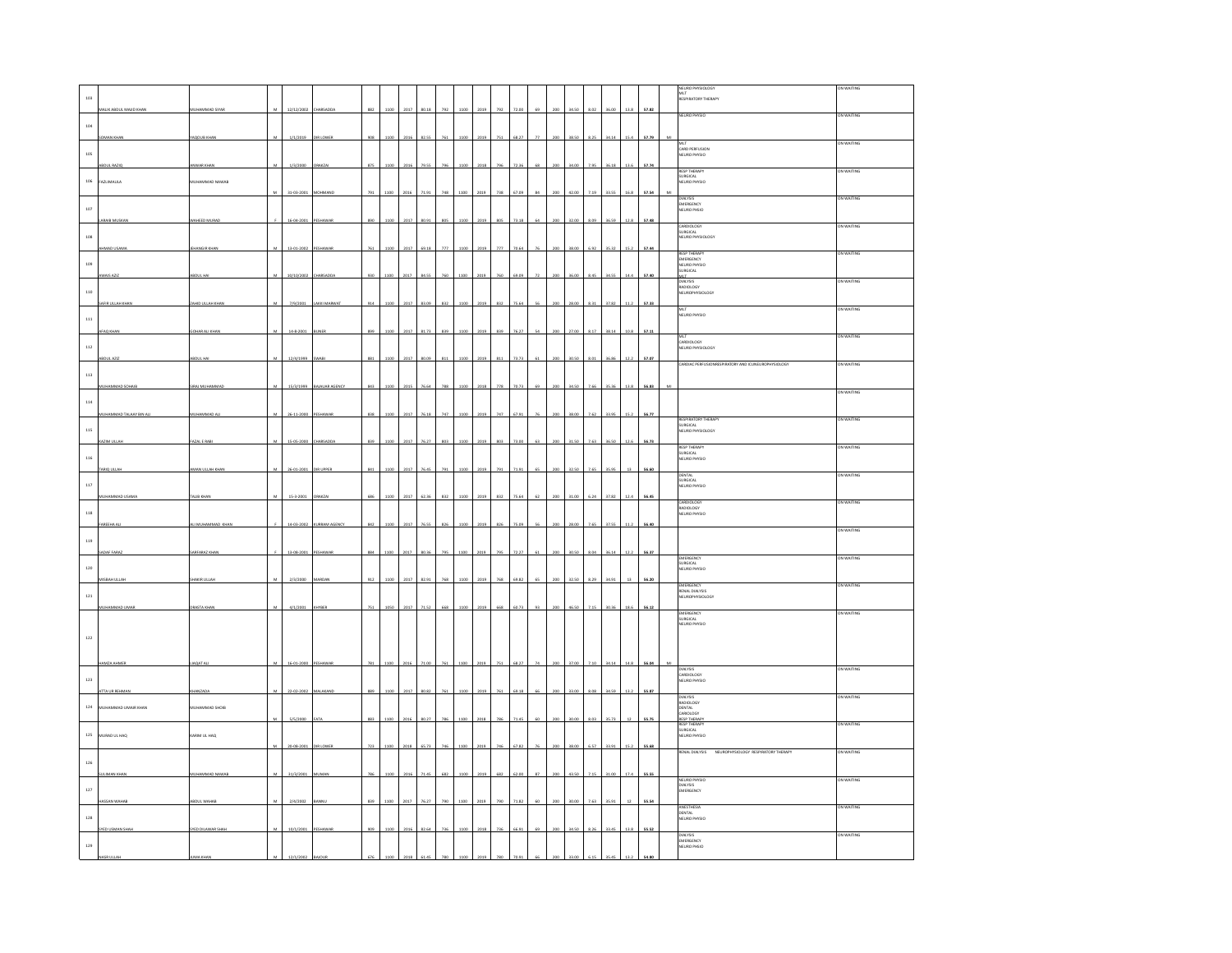|              |                         |                       |                |                      |                    |     |      |      |           |     |      |      |     |       |    |                |       |      |       |      |       | WAITING                                                              |
|--------------|-------------------------|-----------------------|----------------|----------------------|--------------------|-----|------|------|-----------|-----|------|------|-----|-------|----|----------------|-------|------|-------|------|-------|----------------------------------------------------------------------|
| 103          |                         |                       |                |                      |                    |     |      |      |           |     |      |      |     |       |    |                |       |      |       |      |       | NEURO PHYSIOLOGY<br>MLT<br>RESPIRATORY THERAPY                       |
| 104          | MALIK ABDUL MAJID KHAN  | <b>IUHAMMAD SIYAF</b> | M              | 12/12/2002           | HARSADDA           | 882 | 1100 | 2017 | 80.18     | 792 | 1100 | 2019 |     | 72.00 | 69 | 200            | 34.50 | 8.02 | 36.00 | 13.8 | 57.82 | NEURO PHYSIO<br>ON WAITING                                           |
|              |                         | AQOUB KH              |                | 1/1/20               |                    |     |      |      |           |     |      |      |     |       |    |                |       |      |       |      |       | ON WAITING                                                           |
| 105          |                         |                       |                |                      |                    |     |      |      |           |     |      |      |     |       |    |                |       |      |       |      |       | MLT<br>CARD PERFUSION<br>NEURO PHYSIO                                |
|              | ABDUL RAZIO             | WWAR KHAN             |                | 1/3/2000             | <b>BAKZ</b>        |     |      |      |           |     |      |      |     |       |    |                | 34.00 |      | 6.11  |      | 57.74 | RESP THERAPY<br>SURGICAL<br>NEURO PHYSIO<br>ON WAITING               |
| $106\,$      | FAZLIMAULA              | MUHAMMAD NAWAB        | M              | 31-03-2001 MOHMAND   |                    | 791 | 1100 | 2016 | 71.91     |     | 1100 | 2019 |     | 67.09 |    |                | 42.00 |      | 33.55 |      | 57.54 | ON WAITING                                                           |
| 107          |                         |                       |                |                      |                    |     |      |      |           |     |      |      |     |       |    |                |       |      |       |      |       | DIALYSIS<br>EMERGENCY<br>EURO PHSIO                                  |
|              |                         | AHEED MUR             |                | 16-04-200            |                    |     |      |      |           |     |      |      |     |       |    |                |       |      |       |      | 57.4  | CARDIOLOGY<br>SURGICAL<br>NEURO PHYSIOLOGY<br>N WAITING              |
| 108          | HMAD USAMA              | <b>HANGIR KHAI</b>    |                | 13-01-2002           | ESHA               |     | 1100 | 2017 | 69.18     | w   | 1100 |      |     |       |    |                | 38.00 | 6.92 | 35.32 |      | 57.44 |                                                                      |
| $109\,$      |                         |                       |                |                      |                    |     |      |      |           |     |      |      |     |       |    |                |       |      |       |      |       | RESP THERAPY<br>EMERGENCY<br>NEURO PHYSIO<br>SURGICAL<br>ON WAITING  |
|              |                         |                       |                |                      |                    |     |      |      |           |     |      |      |     |       |    |                |       |      |       |      |       | MLT.<br>ON WAITING<br>RADIOLOGY                                      |
| $_{\rm 110}$ | <b>IR ULLAH KHA</b>     | AHD ULLAH KH          |                | 7/9/2001             |                    |     |      |      |           |     |      |      |     |       |    |                |       |      | 37.82 |      | 57.33 | NEUROPHYSIOLOGY                                                      |
| $^{\rm 111}$ |                         |                       |                |                      |                    |     |      |      |           |     |      |      |     |       |    |                |       |      |       |      |       | ON WAITING<br>MLT<br>NEURO PHYSIO                                    |
|              | FAO KHAI                | OHAR ALI KHA          |                | 14-8-2001            | INF                | 899 | 1100 | 2017 | 81.73     | 83  | 1100 |      | 839 | 76.2  |    |                | 27.00 | 8.1  | 38.14 | 10.8 | 57.11 | MLT<br>CARDIOLOGY<br>NEURO PHYSIOLOGY<br>ON WAITING                  |
| $^{\rm 112}$ | <b>BDUL AZIZ</b>        | <b>BOUL HAI</b>       |                | 12/4/1999            | SWABI              | 881 | 1100 | 2017 | 80.09     |     | 1100 | 2019 |     | 73.73 |    |                | 30.50 |      | 36.86 |      | 57.07 |                                                                      |
| 113          |                         |                       |                |                      |                    |     |      |      |           |     |      |      |     |       |    |                |       |      |       |      |       | ARDIAC PERFUSIONRESPIRATORY AND ICUNEURO<br><b>DN WAIT</b>           |
|              | <b>NUHAMMAD SOHAIB</b>  | <b>RAJ MUHAMMAI</b>   | $\overline{M}$ | 15/3/1999            | BAJAUAR AGENCY     | 843 | 110  | 2015 | 76.64     |     |      |      |     |       | εè |                | 34.50 |      |       |      |       | on Waiting                                                           |
| $114\,$      | MUHAMMAD TALAAY BIN ALI | MUHAMMAD ALI          | M              | 26-11-2000 PESHAWAR  |                    | 838 | 1100 | 2017 | 76.18     | 747 | 1100 | 2019 | 747 | 67.93 | 76 | 200            | 38.00 | 7.62 | 33.95 | 15.2 | 56.77 |                                                                      |
| $115\,$      |                         |                       |                |                      |                    |     |      |      |           |     |      |      |     |       |    |                |       |      |       |      |       | RESPIRATORY THERAPY<br>ON WAITING<br>SURGICAL<br>NEURO PHYSIOLOGY    |
|              | KAZIM ULLAH             | FAZAL E RABI          |                | 15-05-2000 CHARSADDA |                    | 839 | 1100 | 2017 | 76.27     |     | 110  | 201  |     |       |    | 200            | 31.50 |      | 36.50 |      | 56.73 | <b>RESP THERAPY</b><br>on Waiting                                    |
| 116          | ARIO ULLAH              | MAN ULLAH KHAI        | $\mathbf{M}$   |                      | DIR UPPER          |     |      | 2017 | 76 A      |     |      |      |     |       |    |                |       |      | is a  |      |       | SURGICAL<br>NEURO PHYSIO                                             |
| $_{\rm 117}$ |                         |                       |                | 26-01-2001           |                    |     |      |      |           |     |      |      |     |       |    |                |       |      |       |      |       | DENTAL<br>SURGICAL<br>NEURO PHYSIO<br>ON WAITING                     |
|              |                         | <b>JIRK</b>           |                | 15.3.20              |                    |     |      |      |           |     |      |      |     |       |    |                |       |      |       |      |       | ON WAITING<br>CARDIOLOGY                                             |
| 118          |                         | I MUHAMMAD K          |                | 14-03-2002           |                    |     |      |      |           |     |      |      |     |       |    |                |       |      | 87.SS |      | 56.4  | RADIOLOGY<br>NEURO PHYSIO                                            |
| 119          |                         |                       |                |                      | <b>JRRAM AGENC</b> |     |      | 201  |           |     |      |      |     |       |    |                |       |      |       |      |       | ON WAITING                                                           |
|              | ADAF FARAZ              | <b>ARFARAZ KHAI</b>   |                | 13-08-2001           | PESHAWAR           | 884 | 1100 | 2017 | $\sin 3i$ |     |      |      |     | m r   |    |                | an si | 8.04 | 36.14 | 12.7 | 56.37 | EMERGENCY<br>ON WAITING                                              |
| $120\,$      |                         |                       |                |                      |                    |     |      |      |           |     |      |      |     |       |    |                |       |      |       |      |       | :MENSENCT<br> URGICAL<br> EURO PHYSIO                                |
| $121\,$      |                         |                       |                |                      |                    |     |      |      |           |     |      |      |     |       |    |                |       |      |       |      |       | EMERGENCY<br>ON WAITING<br>RENAL DIALYSIS<br>NEUROPHYSIOLOGY         |
|              |                         | <b>MSTA</b>           |                | 4/1/200              |                    |     |      |      |           |     |      |      |     |       |    |                |       |      |       |      |       | ON WAITING                                                           |
|              |                         |                       |                |                      |                    |     |      |      |           |     |      |      |     |       |    |                |       |      |       |      |       | EMERGENCY<br>SURGICAL<br>NEURO PHYSIO                                |
| 122          |                         |                       |                |                      |                    |     |      |      |           |     |      |      |     |       |    |                |       |      |       |      |       |                                                                      |
|              | HAMZA AHMER             | AQAT ALI              |                | 16-01-2000           | PESHAWAR           | 781 | 1100 | 2016 | 71.0      |     | 110  | 2019 |     | 68.2  |    |                | 37.00 | 7.10 | 34.14 | 14.8 | 56.04 | ON WAITING                                                           |
| $123\,$      |                         |                       |                |                      |                    |     |      |      |           |     |      |      |     |       |    |                |       |      |       |      |       | DIALYSIS<br>CARDIOLOGY<br>NEURO PHYSIO                               |
|              | <b>ITA UR REHMAN</b>    | HANZADA               |                | 22-02-2002           |                    |     |      | 201  | 80.82     |     |      |      |     |       |    |                | 13.0  |      | 4.59  |      | 55.87 | DIALYSIS<br>ON WAITING<br>RADIOLOGY<br>DENTAL                        |
| 124          | MUHAMMAD UMAIR KHAN     | <b>SIOHA GAMMADIS</b> |                | 5/5/2000             | <b>ATA</b>         | 883 | 1100 | 2016 | 80.27     | 781 | 1100 |      |     | 71.4  | κ  | <sub>200</sub> | 30.00 | 8.03 | 35.73 |      | 55.75 | ABIOLOGY<br>W WAITING                                                |
| $125\,$      | MURAD UL HAQ            | ARIM UL HAQ           |                |                      |                    |     |      |      |           |     |      |      |     |       |    |                |       |      |       |      |       | CANULUGY<br>RESP THERAPY<br>RESP THERAPY<br>SURGICAL<br>NEURO PHYSIO |
|              |                         |                       | $_{\rm M}$     | 20-08-2001 DIRLOWER  |                    | 723 | 1100 | 2018 | 65.73     | 746 | 1100 | 2019 |     | 67.82 | 76 | 200            | 38.00 | 6.57 | 33.91 | 15.2 | 55.68 | RENAL DIALYSIS NEUROPHYSIOLOGY RESPIRATORY THERAPY<br>ON WAITING     |
| 126          |                         | HAMMAD NAI            |                | 31/3/200             |                    |     |      |      |           |     |      |      |     |       |    |                |       |      |       |      |       |                                                                      |
| $127\,$      |                         |                       |                |                      |                    |     |      |      |           |     |      |      |     |       |    |                |       |      |       |      |       | NEURO PHYSIO<br>on Waiting<br>DIALYSIS<br>EMERGENCY                  |
|              | SAN WAHAR               | BDUL WAHA             |                | 2/4/2002             |                    |     |      |      |           |     |      |      |     |       |    |                |       |      | e a   |      |       | WESTHESIA<br><b>ON WAITING</b>                                       |
| 128          | <b>YED USMAN SHAR</b>   | SYED DILAWAR SHAH     | ${\mathsf M}$  | 10/1/2001            |                    |     | 110  | 2016 | 82.64     |     |      |      |     |       |    |                | 34.50 |      |       |      |       | DENTAL<br>NEURO PHYSIO                                               |
| $129\,$      |                         |                       |                |                      |                    |     |      |      |           |     |      |      |     |       |    |                |       |      |       |      |       | ON WAITING<br>DIALYSIS<br>EMERGENCY<br>EURO PHSIO                    |
|              |                         |                       |                |                      |                    |     |      |      |           |     |      |      |     |       |    |                |       |      |       |      |       |                                                                      |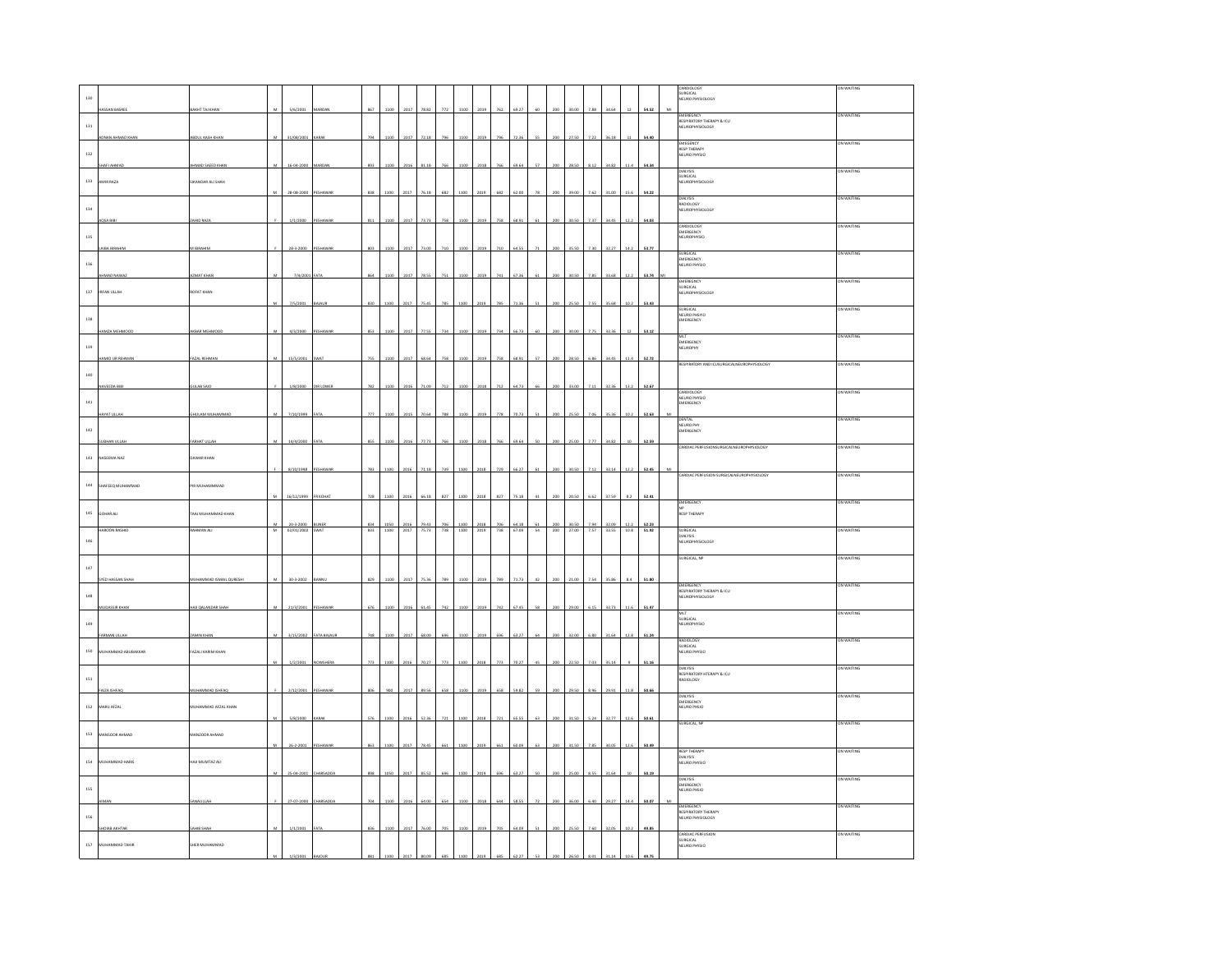|              |                      |                             |                           |                                        |                              |                 |      |      |                                                                                                                                                                                                                                                                                                                                                                                                                |     |                         |      |     |       |                    |              |      |       |                                                                                                                         |       | Cardiology<br>Surgical<br>Neuro Physiology                | ON WAITING  |
|--------------|----------------------|-----------------------------|---------------------------|----------------------------------------|------------------------------|-----------------|------|------|----------------------------------------------------------------------------------------------------------------------------------------------------------------------------------------------------------------------------------------------------------------------------------------------------------------------------------------------------------------------------------------------------------------|-----|-------------------------|------|-----|-------|--------------------|--------------|------|-------|-------------------------------------------------------------------------------------------------------------------------|-------|-----------------------------------------------------------|-------------|
| 130          |                      |                             |                           |                                        |                              |                 |      |      |                                                                                                                                                                                                                                                                                                                                                                                                                |     |                         |      |     |       |                    |              |      |       |                                                                                                                         |       |                                                           |             |
|              | <b>ISSAN BASREE</b>  | MHS LAT THAN                |                           | 5/6/2001                               |                              |                 |      | 2017 | 78.82                                                                                                                                                                                                                                                                                                                                                                                                          |     |                         |      |     | 69.27 |                    |              |      | 34.6  |                                                                                                                         | 54.52 | EMEREGNCY                                                 | ON WAITING  |
| $_{\rm 131}$ |                      |                             |                           |                                        |                              |                 |      |      |                                                                                                                                                                                                                                                                                                                                                                                                                |     |                         |      |     |       |                    |              |      |       |                                                                                                                         |       | RESPIRATORY THERAPY & ICU<br>NEUROPHYSIOLOGY              |             |
|              |                      |                             |                           |                                        |                              |                 |      |      |                                                                                                                                                                                                                                                                                                                                                                                                                |     |                         |      |     |       |                    |              |      |       |                                                                                                                         |       |                                                           |             |
|              |                      |                             |                           |                                        |                              |                 |      |      |                                                                                                                                                                                                                                                                                                                                                                                                                |     |                         |      |     |       |                    |              |      |       |                                                                                                                         |       | <b>EMEGENCY</b><br>RESP THERAPY                           | on Waiting  |
| $132\,$      |                      |                             |                           |                                        |                              |                 |      |      |                                                                                                                                                                                                                                                                                                                                                                                                                |     |                         |      |     |       |                    |              |      |       |                                                                                                                         |       | NEURO PHYSIO                                              |             |
|              | <b>AFI AHMAI</b>     | HMAD SAEED KHAM             |                           | 16-04-2000                             |                              |                 |      |      |                                                                                                                                                                                                                                                                                                                                                                                                                |     |                         |      |     |       |                    |              |      |       |                                                                                                                         | 54.34 |                                                           | ON WAITING  |
| 133          | AMIR RAZA            | <b>SIKANDAR ALI SHAH</b>    |                           |                                        |                              |                 |      |      |                                                                                                                                                                                                                                                                                                                                                                                                                |     |                         |      |     |       |                    |              |      |       |                                                                                                                         |       | DIALYSIS<br>SURGICAL<br>NEUROPHYSIOLOGY                   |             |
|              |                      |                             |                           | 28-08-2000                             | PESHAWAI                     |                 | 110  | 201  | 6.18                                                                                                                                                                                                                                                                                                                                                                                                           |     |                         |      |     |       |                    |              |      |       |                                                                                                                         |       |                                                           | ON WAITING  |
| $^{\rm 134}$ |                      |                             |                           |                                        |                              |                 |      |      |                                                                                                                                                                                                                                                                                                                                                                                                                |     |                         |      |     |       |                    |              |      |       |                                                                                                                         |       | DIALYSIS<br>RADIOLOGY<br>NEUROPHYSIOLOGY                  |             |
|              |                      | HID RAZ                     |                           | 1/1/2000                               |                              |                 |      |      |                                                                                                                                                                                                                                                                                                                                                                                                                |     |                         |      |     |       |                    |              |      |       |                                                                                                                         |       |                                                           |             |
|              |                      |                             |                           |                                        |                              |                 |      |      |                                                                                                                                                                                                                                                                                                                                                                                                                |     |                         |      |     |       |                    |              |      |       |                                                                                                                         |       | CARDIOLOGY<br>EMERGENCY<br>NEUROPHYSIO                    | <b>WAIT</b> |
| 135          |                      |                             |                           |                                        |                              |                 |      |      |                                                                                                                                                                                                                                                                                                                                                                                                                |     |                         |      |     |       |                    |              |      |       |                                                                                                                         |       |                                                           |             |
|              | <b>URA IRRAHI</b>    | <b>IBRAHIN</b>              |                           | 28-3-2000                              |                              | 803             |      |      |                                                                                                                                                                                                                                                                                                                                                                                                                |     |                         |      |     |       |                    |              |      | 322   |                                                                                                                         | 53.77 |                                                           | ON WAITING  |
| 136          |                      |                             |                           |                                        |                              |                 |      |      |                                                                                                                                                                                                                                                                                                                                                                                                                |     |                         |      |     |       |                    |              |      |       |                                                                                                                         |       | SURGICAL<br>EMERGENCY<br>NEURO PHYSIO                     |             |
|              |                      |                             |                           |                                        |                              |                 |      |      |                                                                                                                                                                                                                                                                                                                                                                                                                |     |                         |      |     |       |                    |              |      |       |                                                                                                                         |       |                                                           |             |
|              |                      |                             |                           |                                        |                              |                 |      |      |                                                                                                                                                                                                                                                                                                                                                                                                                |     |                         |      |     |       |                    |              |      |       |                                                                                                                         |       | EMEREGNCY<br>SURGICAL<br>NEUROPHYSIOLOGY                  | ON WAITING  |
|              | 137 IRFAN ULLAH      | <b>ROFAT KHAN</b>           |                           |                                        |                              |                 |      |      |                                                                                                                                                                                                                                                                                                                                                                                                                |     |                         |      |     |       |                    |              |      |       |                                                                                                                         |       |                                                           |             |
|              |                      |                             |                           | 7/5/200                                |                              |                 | 1100 | 2017 |                                                                                                                                                                                                                                                                                                                                                                                                                |     | 110                     |      |     |       |                    |              |      | 35.6  | 0.2                                                                                                                     | 53.43 |                                                           | ON WAITING  |
| 138          |                      |                             |                           |                                        |                              |                 |      |      |                                                                                                                                                                                                                                                                                                                                                                                                                |     |                         |      |     |       |                    |              |      |       |                                                                                                                         |       | SURGICAL<br>NEURO PHSYIO<br>EMERGENCY                     |             |
|              | MIZA MEHMOOD         | <b><i>AKBAR MEHMOOD</i></b> |                           | 4/3/2000                               | ESH                          | 853             | 110  | 2017 | 77.59                                                                                                                                                                                                                                                                                                                                                                                                          | 73  | 110                     |      |     | 66.73 |                    |              |      | 33.36 |                                                                                                                         | 53.12 |                                                           |             |
|              |                      |                             |                           |                                        |                              |                 |      |      |                                                                                                                                                                                                                                                                                                                                                                                                                |     |                         |      |     |       |                    |              |      |       |                                                                                                                         |       | MLT<br>EMERGENCY<br>NEUROPHY                              | ON WAITING  |
| 139          |                      |                             |                           |                                        |                              |                 |      |      |                                                                                                                                                                                                                                                                                                                                                                                                                |     |                         |      |     |       |                    |              |      |       |                                                                                                                         |       |                                                           |             |
|              | AMID UR REHMAN       | AZAL REHMAN                 |                           | 15/5/2001                              | WA1                          |                 | 1100 | 2017 | 68.64                                                                                                                                                                                                                                                                                                                                                                                                          |     |                         |      |     | 68.93 |                    |              | 6.86 | 34.45 |                                                                                                                         | 52.72 | ESPIRATORY                                                | ON WA       |
| 140          |                      |                             |                           |                                        |                              |                 |      |      |                                                                                                                                                                                                                                                                                                                                                                                                                |     |                         |      |     |       |                    |              |      |       |                                                                                                                         |       |                                                           |             |
|              | WEEDA BIB            | ULAB SAID                   |                           | 1/8/2000                               | <b>DIR LOWER</b>             |                 |      | 2016 |                                                                                                                                                                                                                                                                                                                                                                                                                |     |                         |      |     | 64.7  |                    |              |      | 32.36 | 13.2                                                                                                                    | 52.67 |                                                           |             |
|              |                      |                             |                           |                                        |                              |                 |      |      |                                                                                                                                                                                                                                                                                                                                                                                                                |     |                         |      |     |       |                    |              |      |       |                                                                                                                         |       | CARDIOLOGY<br>NEURO PHYSIO<br>EMERGENCY                   | ON WAITING  |
| $141\,$      |                      |                             |                           |                                        |                              |                 |      |      |                                                                                                                                                                                                                                                                                                                                                                                                                |     |                         |      |     |       |                    |              |      |       |                                                                                                                         |       |                                                           |             |
|              | <b>AYAT ULLAH</b>    | HULAM MUHAMMAD              | M                         | 7/10/1999                              | ATA                          | 777             | 110  | 2015 | 70.64                                                                                                                                                                                                                                                                                                                                                                                                          | 781 | 110                     |      |     | 70.73 |                    |              | 7.01 | 35.36 | 10.2                                                                                                                    | 52.63 |                                                           | ON WAITING  |
| $_{\rm 142}$ |                      |                             |                           |                                        |                              |                 |      |      |                                                                                                                                                                                                                                                                                                                                                                                                                |     |                         |      |     |       |                    |              |      |       |                                                                                                                         |       | DENTAL<br>NEURO PHY<br>EMERGENCY                          |             |
|              | <b>SUBHAN ULLAH</b>  | ARHAT ULLAH                 | M                         | 14/4/2000                              |                              | 855             | 1100 | 2016 | 77.73                                                                                                                                                                                                                                                                                                                                                                                                          |     | 1100                    | 2018 |     | 69.64 |                    |              | 7.77 | 34.82 |                                                                                                                         | 52.59 |                                                           |             |
|              | 143 NASEEMA NAZ      | <b>DAWAR KHAN</b>           |                           |                                        |                              |                 |      |      |                                                                                                                                                                                                                                                                                                                                                                                                                |     |                         |      |     |       |                    |              |      |       |                                                                                                                         |       | .<br>ARDIAC PERFUSIONSURGICALNEUROPHYSIOLOGY              | ON WAITING  |
|              |                      |                             |                           | 8/10/1998                              |                              |                 |      |      |                                                                                                                                                                                                                                                                                                                                                                                                                |     |                         |      |     |       |                    |              |      |       |                                                                                                                         |       |                                                           |             |
|              |                      |                             |                           |                                        |                              |                 |      |      |                                                                                                                                                                                                                                                                                                                                                                                                                |     |                         |      |     |       |                    |              |      |       |                                                                                                                         |       | CARDIAC PERFUSION SURGICALNEUROI                          | ON WAITING  |
| $^{\rm 144}$ | SHAFEEQ MUHAMMAD     | <b>IR MUHAMMMAD</b>         |                           |                                        |                              |                 |      |      |                                                                                                                                                                                                                                                                                                                                                                                                                |     |                         |      |     |       |                    |              |      |       |                                                                                                                         |       |                                                           |             |
|              |                      |                             |                           | 16/12/1999                             | FR KOH                       | 728             |      |      |                                                                                                                                                                                                                                                                                                                                                                                                                |     |                         |      |     |       |                    |              |      |       |                                                                                                                         | 52.4  | EMERGENCY                                                 | ON WAITING  |
|              | 145 GOHAR ALI        | TAAJ MUHAMMAD KHAN          |                           |                                        |                              |                 |      |      |                                                                                                                                                                                                                                                                                                                                                                                                                |     |                         |      |     |       |                    |              |      |       |                                                                                                                         |       | NP<br>NP<br>RESP THERAPY                                  |             |
|              |                      |                             |                           |                                        |                              |                 |      |      |                                                                                                                                                                                                                                                                                                                                                                                                                |     | 1100                    | 2018 |     | 64.18 |                    |              |      |       |                                                                                                                         |       |                                                           |             |
|              |                      |                             |                           | M 20-3-2000 BUNER<br>M 02/01/2002 SWAT |                              | 834<br>833 1100 | 1050 |      | $\begin{array}{r@{\hspace{1em}}c@{\hspace{1em}}c@{\hspace{1em}}c@{\hspace{1em}}c@{\hspace{1em}}c@{\hspace{1em}}c@{\hspace{1em}}c@{\hspace{1em}}c@{\hspace{1em}}c@{\hspace{1em}}c@{\hspace{1em}}c@{\hspace{1em}}c@{\hspace{1em}}c@{\hspace{1em}}c@{\hspace{1em}}c@{\hspace{1em}}c@{\hspace{1em}}c@{\hspace{1em}}c@{\hspace{1em}}c@{\hspace{1em}}c@{\hspace{1em}}c@{\hspace{1em}}c@{\hspace{1em}}c@{\hspace{1em$ | 706 | 738 1100 2019 738 67.09 |      | 706 |       | 61<br>54 200 27.00 | 200<br>30.50 |      |       | $\begin{array}{c cccc} 7.94 & 32.09 & 12.2 & \textbf{52.23} \\ \hline 7.57 & 33.55 & 10.8 & \textbf{51.92} \end{array}$ |       | SURGICAL<br>DIALYSIS                                      | ON WAITING  |
|              | HAROON RASHID        | LIA KANHAL                  |                           |                                        |                              |                 |      |      |                                                                                                                                                                                                                                                                                                                                                                                                                |     |                         |      |     |       |                    |              |      |       |                                                                                                                         |       | NEUROPHYSIOLOGY                                           |             |
| 146          |                      |                             |                           |                                        |                              |                 |      |      |                                                                                                                                                                                                                                                                                                                                                                                                                |     |                         |      |     |       |                    |              |      |       |                                                                                                                         |       |                                                           |             |
|              |                      |                             |                           |                                        |                              |                 |      |      |                                                                                                                                                                                                                                                                                                                                                                                                                |     |                         |      |     |       |                    |              |      |       |                                                                                                                         |       |                                                           |             |
|              |                      |                             |                           |                                        |                              |                 |      |      |                                                                                                                                                                                                                                                                                                                                                                                                                |     |                         |      |     |       |                    |              |      |       |                                                                                                                         |       | URGICAL, NP                                               | ON WAITING  |
| $_{\rm 147}$ |                      |                             |                           | 30-3-200                               |                              |                 |      |      |                                                                                                                                                                                                                                                                                                                                                                                                                |     |                         |      |     |       |                    |              |      |       |                                                                                                                         |       |                                                           |             |
|              |                      |                             |                           |                                        |                              |                 |      |      |                                                                                                                                                                                                                                                                                                                                                                                                                |     |                         |      |     |       |                    |              |      |       |                                                                                                                         |       | EMERGENCY                                                 | ON WAITING  |
| $_{\rm 148}$ |                      |                             |                           |                                        |                              |                 |      |      |                                                                                                                                                                                                                                                                                                                                                                                                                |     |                         |      |     |       |                    |              |      |       |                                                                                                                         |       | EMENGENCT<br>RESPIRATORY THERAPY & ICU<br>NEUROPHYSIOLOGY |             |
|              | <b>IUDASSIR KHAN</b> | HAILQALANDAR SHAH           |                           | 21/3/2001                              | PESHAWAF                     |                 |      | 2016 |                                                                                                                                                                                                                                                                                                                                                                                                                |     |                         |      |     |       |                    |              |      | 33.73 |                                                                                                                         | 51.47 |                                                           | ON WAITING  |
| $149\,$      |                      |                             |                           |                                        |                              |                 |      |      |                                                                                                                                                                                                                                                                                                                                                                                                                |     |                         |      |     |       |                    |              |      |       |                                                                                                                         |       | MLT<br>SURGICAL<br>NEUROPHYSIO                            |             |
|              | FARMAN III LAH       | <b>AMIN KHA</b>             | $\boldsymbol{\mathsf{M}}$ | 3/15/2002                              | <b>FATA RAIMIR</b>           |                 |      | 2017 | co ni                                                                                                                                                                                                                                                                                                                                                                                                          |     |                         |      |     |       |                    |              |      |       |                                                                                                                         | 51.24 |                                                           |             |
|              |                      |                             |                           |                                        |                              |                 |      |      |                                                                                                                                                                                                                                                                                                                                                                                                                |     |                         |      |     |       |                    |              |      |       |                                                                                                                         |       |                                                           | ON WAITING  |
| $150\,$      | MUHAMMAD ABUBAKKAR   | <b>AZALI KARIM KHAN</b>     |                           |                                        |                              |                 |      |      |                                                                                                                                                                                                                                                                                                                                                                                                                |     |                         |      |     |       |                    |              |      |       |                                                                                                                         |       | RADIOLOGY<br>SURGICAL<br>NEURO PHYSIO                     |             |
|              |                      |                             |                           | 1/2/2001                               | <b><i><u>OWSHERA</u></i></b> | 773             | 1101 |      | 20.27                                                                                                                                                                                                                                                                                                                                                                                                          |     |                         |      |     |       |                    |              |      |       |                                                                                                                         |       |                                                           | ON WAITING  |
| 151          |                      |                             |                           |                                        |                              |                 |      |      |                                                                                                                                                                                                                                                                                                                                                                                                                |     |                         |      |     |       |                    |              |      |       |                                                                                                                         |       | DIALYSIS<br>RESPIRATORY HTERAPY & ICU<br>RADIOLOGY        |             |
|              | VZA ISHFAC           | UHAMMAD ISHFAQ              |                           | 2/12/200                               |                              |                 |      |      |                                                                                                                                                                                                                                                                                                                                                                                                                |     |                         |      |     |       |                    |              |      |       |                                                                                                                         |       |                                                           |             |
|              |                      |                             |                           |                                        |                              |                 |      |      |                                                                                                                                                                                                                                                                                                                                                                                                                |     |                         |      |     |       |                    |              |      |       |                                                                                                                         |       | DIALYSIS<br>EMERGENCY                                     | ON WAITING  |
|              | 152 MARU AFZAL       | <b>JUHAMMAD AFZAL KHAN</b>  |                           |                                        |                              |                 |      |      |                                                                                                                                                                                                                                                                                                                                                                                                                |     |                         |      |     |       |                    |              |      |       |                                                                                                                         |       | NEURO PHSIO                                               |             |
|              |                      |                             |                           |                                        |                              |                 |      |      |                                                                                                                                                                                                                                                                                                                                                                                                                |     |                         |      |     |       |                    |              |      |       |                                                                                                                         |       | URGICAL, NP                                               | ON WAITING  |
| $153\,$      | MANSOOR AHMAD        | MANZOOR AHMAD               |                           |                                        |                              |                 |      |      |                                                                                                                                                                                                                                                                                                                                                                                                                |     |                         |      |     |       |                    |              |      |       |                                                                                                                         |       |                                                           |             |
|              |                      |                             |                           | 26-2-2001                              | PESHA                        |                 |      | 201  | 78.4                                                                                                                                                                                                                                                                                                                                                                                                           |     |                         |      |     |       |                    |              |      |       |                                                                                                                         | 50.4  |                                                           |             |
|              |                      |                             |                           |                                        |                              |                 |      |      |                                                                                                                                                                                                                                                                                                                                                                                                                |     |                         |      |     |       |                    |              |      |       |                                                                                                                         |       |                                                           | ON WAITING  |
| 154          | MUHAMMAD HARIS       | HAJI MUMTAZ ALI             |                           |                                        |                              |                 |      |      |                                                                                                                                                                                                                                                                                                                                                                                                                |     |                         |      |     |       |                    |              |      |       |                                                                                                                         |       | RESP THERAPY<br>DIALYSIS<br>NEURO PHYSIO                  |             |
|              |                      |                             |                           | 25-04-2001                             |                              |                 |      |      |                                                                                                                                                                                                                                                                                                                                                                                                                |     |                         |      |     |       |                    |              |      |       |                                                                                                                         |       |                                                           | ON WAITING  |
| 155          |                      |                             |                           |                                        |                              |                 |      |      |                                                                                                                                                                                                                                                                                                                                                                                                                |     |                         |      |     |       |                    |              |      |       |                                                                                                                         |       | DIALYSIS<br>EMERGENCY<br>NEURO PHSIO                      |             |
|              |                      |                             |                           |                                        |                              |                 |      |      |                                                                                                                                                                                                                                                                                                                                                                                                                |     |                         |      |     |       |                    |              |      |       |                                                                                                                         |       |                                                           |             |
|              |                      |                             |                           |                                        |                              |                 |      |      |                                                                                                                                                                                                                                                                                                                                                                                                                |     |                         |      |     |       |                    |              |      |       |                                                                                                                         |       |                                                           | ON WAITING  |
| $156\,$      |                      |                             |                           |                                        |                              |                 |      |      |                                                                                                                                                                                                                                                                                                                                                                                                                |     |                         |      |     |       |                    |              |      |       |                                                                                                                         |       | EMERGENCY<br>RESPIRATORY THERAPY<br>NEURO PHYSIOLOGY      |             |
|              | HOIAB AKHTAR         | AHIB SHAI                   |                           | 1/1/2001                               |                              |                 |      |      |                                                                                                                                                                                                                                                                                                                                                                                                                |     |                         |      |     |       |                    |              |      |       |                                                                                                                         |       |                                                           | ON WAITING  |
| $157\,$      | MUHAMMAD TAHIR       | HER MUHAMMAD                |                           |                                        |                              |                 |      |      |                                                                                                                                                                                                                                                                                                                                                                                                                |     |                         |      |     |       |                    |              |      |       |                                                                                                                         |       | CARDIAC PERFUSION<br>SURGICAL<br>NEURO PHYSIO             |             |